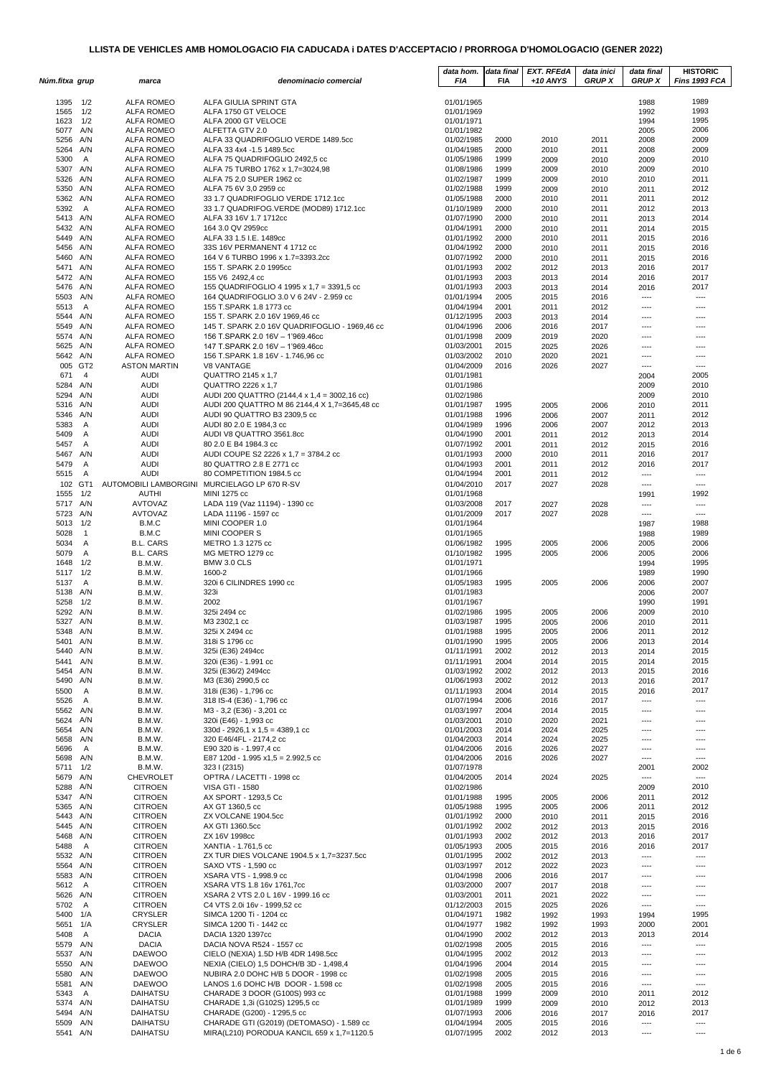| Núm.fitxa grup       |                | marca                                                        | denominacio comercial                                                                   | data hom.<br>FIA         | data final<br><b>FIA</b> | EXT. RFEdA<br>+10 ANYS | data inici<br><b>GRUP X</b> | data final<br><b>GRUP X</b> | <b>HISTORIC</b><br>Fins 1993 FCA |
|----------------------|----------------|--------------------------------------------------------------|-----------------------------------------------------------------------------------------|--------------------------|--------------------------|------------------------|-----------------------------|-----------------------------|----------------------------------|
| 1395                 | 1/2            | <b>ALFA ROMEO</b>                                            | ALFA GIULIA SPRINT GTA                                                                  | 01/01/1965               |                          |                        |                             | 1988                        | 1989                             |
| 1565                 | 1/2            | <b>ALFA ROMEO</b>                                            | ALFA 1750 GT VELOCE                                                                     | 01/01/1969               |                          |                        |                             | 1992                        | 1993                             |
| 1623                 | 1/2            | <b>ALFA ROMEO</b>                                            | ALFA 2000 GT VELOCE                                                                     | 01/01/1971               |                          |                        |                             | 1994                        | 1995                             |
| 5077 A/N<br>5256 A/N |                | <b>ALFA ROMEO</b><br><b>ALFA ROMEO</b>                       | ALFETTA GTV 2.0<br>ALFA 33 QUADRIFOGLIO VERDE 1489.5cc                                  | 01/01/1982<br>01/02/1985 | 2000                     | 2010                   | 2011                        | 2005<br>2008                | 2006<br>2009                     |
| 5264 A/N             |                | <b>ALFA ROMEO</b>                                            | ALFA 33 4x4 -1.5 1489.5cc                                                               | 01/04/1985               | 2000                     | 2010                   | 2011                        | 2008                        | 2009                             |
| 5300                 | A              | <b>ALFA ROMEO</b>                                            | ALFA 75 QUADRIFOGLIO 2492,5 cc                                                          | 01/05/1986               | 1999                     | 2009                   | 2010                        | 2009                        | 2010                             |
| 5307 A/N             |                | <b>ALFA ROMEO</b>                                            | ALFA 75 TURBO 1762 x 1,7=3024,98                                                        | 01/08/1986               | 1999                     | 2009                   | 2010                        | 2009                        | 2010                             |
| 5326 A/N             |                | <b>ALFA ROMEO</b>                                            | ALFA 75 2,0 SUPER 1962 cc                                                               | 01/02/1987               | 1999                     | 2009                   | 2010                        | 2010                        | 2011                             |
| 5350 A/N             |                | <b>ALFA ROMEO</b>                                            | ALFA 75 6V 3,0 2959 cc                                                                  | 01/02/1988               | 1999                     | 2009                   | 2010                        | 2011                        | 2012                             |
| 5362 A/N<br>5392     | A              | <b>ALFA ROMEO</b><br><b>ALFA ROMEO</b>                       | 33 1.7 QUADRIFOGLIO VERDE 1712.1cc<br>33 1.7 QUADRIFOG.VERDE (MOD89) 1712.1cc           | 01/05/1988<br>01/10/1989 | 2000<br>2000             | 2010<br>2010           | 2011<br>2011                | 2011<br>2012                | 2012<br>2013                     |
| 5413 A/N             |                | <b>ALFA ROMEO</b>                                            | ALFA 33 16V 1.7 1712cc                                                                  | 01/07/1990               | 2000                     | 2010                   | 2011                        | 2013                        | 2014                             |
| 5432 A/N             |                | <b>ALFA ROMEO</b>                                            | 164 3.0 QV 2959cc                                                                       | 01/04/1991               | 2000                     | 2010                   | 2011                        | 2014                        | 2015                             |
| 5449 A/N             |                | <b>ALFA ROMEO</b>                                            | ALFA 33 1.5 I.E. 1489cc                                                                 | 01/01/1992               | 2000                     | 2010                   | 2011                        | 2015                        | 2016                             |
| 5456 A/N             |                | <b>ALFA ROMEO</b>                                            | 33S 16V PERMANENT 4 1712 cc                                                             | 01/04/1992               | 2000                     | 2010                   | 2011                        | 2015                        | 2016                             |
| 5460 A/N             |                | <b>ALFA ROMEO</b>                                            | 164 V 6 TURBO 1996 x 1.7=3393.2cc                                                       | 01/07/1992               | 2000                     | 2010                   | 2011                        | 2015                        | 2016                             |
| 5471 A/N<br>5472 A/N |                | <b>ALFA ROMEO</b><br><b>ALFA ROMEO</b>                       | 155 T. SPARK 2.0 1995cc<br>155 V6 2492,4 cc                                             | 01/01/1993<br>01/01/1993 | 2002<br>2003             | 2012<br>2013           | 2013<br>2014                | 2016<br>2016                | 2017<br>2017                     |
| 5476 A/N             |                | <b>ALFA ROMEO</b>                                            | 155 QUADRIFOGLIO 4 1995 x 1,7 = 3391,5 cc                                               | 01/01/1993               | 2003                     | 2013                   | 2014                        | 2016                        | 2017                             |
| 5503 A/N             |                | ALFA ROMEO                                                   | 164 QUADRIFOGLIO 3.0 V 6 24V - 2.959 cc                                                 | 01/01/1994               | 2005                     | 2015                   | 2016                        | ----                        | ----                             |
| 5513                 | A              | <b>ALFA ROMEO</b>                                            | 155 T.SPARK 1.8 1773 cc                                                                 | 01/04/1994               | 2001                     | 2011                   | 2012                        | ----                        | ----                             |
| 5544 A/N             |                | <b>ALFA ROMEO</b>                                            | 155 T. SPARK 2.0 16V 1969,46 cc                                                         | 01/12/1995               | 2003                     | 2013                   | 2014                        | ----                        | ----                             |
| 5549 A/N<br>5574 A/N |                | <b>ALFA ROMEO</b>                                            | 145 T. SPARK 2.0 16V QUADRIFOGLIO - 1969,46 cc                                          | 01/04/1996               | 2006                     | 2016                   | 2017                        | ----                        | ----                             |
| 5625 A/N             |                | <b>ALFA ROMEO</b><br><b>ALFA ROMEO</b>                       | 156 T.SPARK 2.0 16V - 1'969.46cc<br>147 T.SPARK 2.0 16V - 1'969.46cc                    | 01/01/1998<br>01/03/2001 | 2009<br>2015             | 2019<br>2025           | 2020<br>2026                | $---$<br>$---$              | ----<br>----                     |
| 5642 A/N             |                | <b>ALFA ROMEO</b>                                            | 156 T.SPARK 1.8 16V - 1.746,96 cc                                                       | 01/03/2002               | 2010                     | 2020                   | 2021                        | ----                        | ----                             |
| 005 GT2              |                | <b>ASTON MARTIN</b>                                          | <b>V8 VANTAGE</b>                                                                       | 01/04/2009               | 2016                     | 2026                   | 2027                        | $---$                       | ----                             |
| 671                  | $\overline{4}$ | <b>AUDI</b>                                                  | QUATTRO 2145 x 1,7                                                                      | 01/01/1981               |                          |                        |                             | 2004                        | 2005                             |
| 5284 A/N             |                | <b>AUDI</b>                                                  | QUATTRO 2226 x 1,7                                                                      | 01/01/1986               |                          |                        |                             | 2009                        | 2010                             |
| 5294                 | A/N            | <b>AUDI</b>                                                  | AUDI 200 QUATTRO (2144,4 x 1,4 = 3002,16 cc)                                            | 01/02/1986               |                          |                        |                             | 2009                        | 2010                             |
| 5316 A/N<br>5346 A/N |                | <b>AUDI</b><br><b>AUDI</b>                                   | AUDI 200 QUATTRO M 86 2144,4 X 1,7=3645,48 cc<br>AUDI 90 QUATTRO B3 2309,5 cc           | 01/01/1987<br>01/01/1988 | 1995<br>1996             | 2005                   | 2006                        | 2010                        | 2011<br>2012                     |
| 5383                 | A              | <b>AUDI</b>                                                  | AUDI 80 2.0 E 1984,3 cc                                                                 | 01/04/1989               | 1996                     | 2006<br>2006           | 2007<br>2007                | 2011<br>2012                | 2013                             |
| 5409                 | $\overline{A}$ | <b>AUDI</b>                                                  | AUDI V8 QUATTRO 3561.8cc                                                                | 01/04/1990               | 2001                     | 2011                   | 2012                        | 2013                        | 2014                             |
| 5457                 | $\overline{A}$ | <b>AUDI</b>                                                  | 80 2.0 E B4 1984.3 cc                                                                   | 01/07/1992               | 2001                     | 2011                   | 2012                        | 2015                        | 2016                             |
| 5467 A/N             |                | <b>AUDI</b>                                                  | AUDI COUPE S2 2226 x 1,7 = 3784.2 cc                                                    | 01/01/1993               | 2000                     | 2010                   | 2011                        | 2016                        | 2017                             |
| 5479                 | Α              | <b>AUDI</b>                                                  | 80 QUATTRO 2.8 E 2771 cc                                                                | 01/04/1993               | 2001                     | 2011                   | 2012                        | 2016                        | 2017                             |
| 5515                 | A              | <b>AUDI</b>                                                  | 80 COMPETITION 1984.5 cc                                                                | 01/04/1994               | 2001                     | 2011                   | 2012                        | $\cdots$                    | $---$                            |
| 102 GT1<br>1555      | 1/2            | AUTOMOBILI LAMBORGINI MURCIELAGO LP 670 R-SV<br><b>AUTHI</b> | MINI 1275 cc                                                                            | 01/04/2010<br>01/01/1968 | 2017                     | 2027                   | 2028                        | $---$<br>1991               | $---$<br>1992                    |
| 5717 A/N             |                | AVTOVAZ                                                      | LADA 119 (Vaz 11194) - 1390 cc                                                          | 01/03/2008               | 2017                     | 2027                   | 2028                        | ----                        | ----                             |
| 5723 A/N             |                | AVTOVAZ                                                      | LADA 11196 - 1597 cc                                                                    | 01/01/2009               | 2017                     | 2027                   | 2028                        | ----                        | ----                             |
| 5013                 | 1/2            | B.M.C                                                        | MINI COOPER 1.0                                                                         | 01/01/1964               |                          |                        |                             | 1987                        | 1988                             |
| 5028                 | $\mathbf{1}$   | B.M.C                                                        | MINI COOPER S                                                                           | 01/01/1965               |                          |                        |                             | 1988                        | 1989                             |
| 5034                 | $\overline{A}$ | <b>B.L. CARS</b>                                             | METRO 1.3 1275 cc                                                                       | 01/06/1982               | 1995                     | 2005                   | 2006                        | 2005                        | 2006                             |
| 5079<br>1648         | A<br>1/2       | <b>B.L. CARS</b><br>B.M.W.                                   | MG METRO 1279 cc<br>BMW 3.0 CLS                                                         | 01/10/1982<br>01/01/1971 | 1995                     | 2005                   | 2006                        | 2005<br>1994                | 2006<br>1995                     |
| 5117 1/2             |                | B.M.W.                                                       | 1600-2                                                                                  | 01/01/1966               |                          |                        |                             | 1989                        | 1990                             |
| 5137                 | A              | B.M.W.                                                       | 320i 6 CILINDRES 1990 cc                                                                | 01/05/1983               | 1995                     | 2005                   | 2006                        | 2006                        | 2007                             |
| 5138 A/N             |                | B.M.W.                                                       | 323i                                                                                    | 01/01/1983               |                          |                        |                             | 2006                        | 2007                             |
| 5258                 | 1/2            | B.M.W.                                                       | 2002                                                                                    | 01/01/1967               |                          |                        |                             | 1990                        | 1991                             |
| 5292                 | A/N            | B.M.W.                                                       | 325i 2494 cc                                                                            | 01/02/1986               | 1995                     | 2005                   | 2006                        | 2009                        | 2010                             |
| 5327<br>5348 A/N     | A/N            | B.M.W.<br>B.M.W.                                             | M3 2302,1 cc<br>325i X 2494 cc                                                          | 01/03/1987<br>01/01/1988 | 1995<br>1995             | 2005<br>2005           | 2006<br>2006                | 2010<br>2011                | 2011<br>2012                     |
| 5401                 | A/N            | B.M.W.                                                       | 318i S 1796 cc                                                                          | 01/01/1990               | 1995                     | 2005                   | 2006                        | 2013                        | 2014                             |
| 5440 A/N             |                | B.M.W.                                                       | 325i (E36) 2494cc                                                                       | 01/11/1991               | 2002                     | 2012                   | 2013                        | 2014                        | 2015                             |
| 5441 A/N             |                | B.M.W.                                                       | 320i (E36) - 1.991 cc                                                                   | 01/11/1991               | 2004                     | 2014                   | 2015                        | 2014                        | 2015                             |
| 5454 A/N             |                | B.M.W.                                                       | 325i (E36/2) 2494cc                                                                     | 01/03/1992               | 2002                     | 2012                   | 2013                        | 2015                        | 2016                             |
| 5490 A/N             |                | B.M.W.                                                       | M3 (E36) 2990,5 cc                                                                      | 01/06/1993               | 2002                     | 2012                   | 2013                        | 2016                        | 2017                             |
| 5500                 | Α              | B.M.W.                                                       | 318i (E36) - 1,796 cc<br>318 IS-4 (E36) - 1,796 cc                                      | 01/11/1993<br>01/07/1994 | 2004<br>2006             | 2014                   | 2015                        | 2016                        | 2017                             |
| 5526<br>5562 A/N     | A              | B.M.W.<br>B.M.W.                                             | M3 - 3,2 (E36) - 3,201 cc                                                               | 01/03/1997               | 2004                     | 2016<br>2014           | 2017<br>2015                | ----<br>----                | $---$<br>----                    |
| 5624 A/N             |                | B.M.W.                                                       | 320i (E46) - 1,993 cc                                                                   | 01/03/2001               | 2010                     | 2020                   | 2021                        | ----                        | ----                             |
| 5654 A/N             |                | B.M.W.                                                       | $330d - 2926.1 \times 1.5 = 4389.1$ cc                                                  | 01/01/2003               | 2014                     | 2024                   | 2025                        | $---$                       | $---$                            |
| 5658 A/N             |                | B.M.W.                                                       | 320 E46/4FL - 2174,2 cc                                                                 | 01/04/2003               | 2014                     | 2024                   | 2025                        | ----                        | ----                             |
| 5696<br>5698 A/N     | A              | B.M.W.<br>B.M.W.                                             | E90 320 is - 1.997,4 cc<br>E87 120d - 1.995 x1,5 = 2.992,5 cc                           | 01/04/2006<br>01/04/2006 | 2016<br>2016             | 2026<br>2026           | 2027<br>2027                | ----<br>$\cdots$            | ----<br>----                     |
| 5711 1/2             |                | B.M.W.                                                       | 323   (2315)                                                                            | 01/07/1978               |                          |                        |                             | 2001                        | 2002                             |
| 5679 A/N             |                | <b>CHEVROLET</b>                                             | OPTRA / LACETTI - 1998 cc                                                               | 01/04/2005               | 2014                     | 2024                   | 2025                        | $---$                       | $---$                            |
| 5288 A/N             |                | <b>CITROEN</b>                                               | <b>VISA GTI - 1580</b>                                                                  | 01/02/1986               |                          |                        |                             | 2009                        | 2010                             |
| 5347 A/N             |                | <b>CITROEN</b>                                               | AX SPORT - 1293,5 Cc                                                                    | 01/01/1988               | 1995                     | 2005                   | 2006                        | 2011                        | 2012                             |
| 5365 A/N             |                | <b>CITROEN</b>                                               | AX GT 1360,5 cc                                                                         | 01/05/1988               | 1995                     | 2005                   | 2006                        | 2011                        | 2012                             |
| 5443 A/N<br>5445 A/N |                | <b>CITROEN</b><br><b>CITROEN</b>                             | ZX VOLCANE 1904.5cc<br>AX GTI 1360.5cc                                                  | 01/01/1992<br>01/01/1992 | 2000<br>2002             | 2010<br>2012           | 2011<br>2013                | 2015<br>2015                | 2016<br>2016                     |
| 5468 A/N             |                | <b>CITROEN</b>                                               | ZX 16V 1998cc                                                                           | 01/01/1993               | 2002                     | 2012                   | 2013                        | 2016                        | 2017                             |
| 5488                 | A              | <b>CITROEN</b>                                               | XANTIA - 1.761,5 cc                                                                     | 01/05/1993               | 2005                     | 2015                   | 2016                        | 2016                        | 2017                             |
| 5532 A/N             |                | <b>CITROEN</b>                                               | ZX TUR DIES VOLCANE 1904.5 x 1,7=3237.5cc                                               | 01/01/1995               | 2002                     | 2012                   | 2013                        | ----                        | ----                             |
| 5564 A/N             |                | <b>CITROEN</b>                                               | SAXO VTS - 1,590 cc                                                                     | 01/03/1997               | 2012                     | 2022                   | 2023                        | $---$                       | ----                             |
| 5583 A/N             |                | <b>CITROEN</b>                                               | XSARA VTS - 1,998.9 cc                                                                  | 01/04/1998               | 2006                     | 2016                   | 2017                        | ----                        | ----                             |
| 5612<br>5626 A/N     | A              | <b>CITROEN</b><br><b>CITROEN</b>                             | XSARA VTS 1.8 16v 1761,7cc<br>XSARA 2 VTS 2.0 L 16V - 1999.16 cc                        | 01/03/2000<br>01/03/2001 | 2007<br>2011             | 2017                   | 2018                        | ----                        | ----                             |
| 5702                 | <b>A</b>       | <b>CITROEN</b>                                               | C4 VTS 2.0i 16v - 1999,52 cc                                                            | 01/12/2003               | 2015                     | 2021<br>2025           | 2022<br>2026                | ----<br>----                | ----<br>----                     |
| 5400 1/A             |                | <b>CRYSLER</b>                                               | SIMCA 1200 Ti - 1204 cc                                                                 | 01/04/1971               | 1982                     | 1992                   | 1993                        | 1994                        | 1995                             |
| 5651 1/A             |                | <b>CRYSLER</b>                                               | SIMCA 1200 Ti - 1442 cc                                                                 | 01/04/1977               | 1982                     | 1992                   | 1993                        | 2000                        | 2001                             |
| 5408                 | A              | <b>DACIA</b>                                                 | DACIA 1320 1397cc                                                                       | 01/04/1990               | 2002                     | 2012                   | 2013                        | 2013                        | 2014                             |
| 5579 A/N             |                | <b>DACIA</b>                                                 | DACIA NOVA R524 - 1557 cc                                                               | 01/02/1998               | 2005                     | 2015                   | 2016                        | $\cdots$                    | $---$                            |
| 5537 A/N<br>5550 A/N |                | <b>DAEWOO</b><br><b>DAEWOO</b>                               | CIELO (NEXIA) 1.5D H/B 4DR 1498.5cc<br>NEXIA (CIELO) 1,5 DOHCH/B 3D - 1,498,4           | 01/04/1995<br>01/04/1996 | 2002<br>2004             | 2012<br>2014           | 2013<br>2015                | ----<br>----                | ----<br>----                     |
| 5580 A/N             |                | <b>DAEWOO</b>                                                | NUBIRA 2.0 DOHC H/B 5 DOOR - 1998 cc                                                    | 01/02/1998               | 2005                     | 2015                   | 2016                        | ----                        | ----                             |
| 5581 A/N             |                | <b>DAEWOO</b>                                                | LANOS 1.6 DOHC H/B DOOR - 1.598 cc                                                      | 01/02/1998               | 2005                     | 2015                   | 2016                        | $\cdots$                    | ----                             |
| 5343                 | A              | DAIHATSU                                                     | CHARADE 3 DOOR (G100S) 993 cc                                                           | 01/01/1988               | 1999                     | 2009                   | 2010                        | 2011                        | 2012                             |
| 5374 A/N             |                | DAIHATSU                                                     | CHARADE 1,3i (G102S) 1295,5 cc                                                          | 01/01/1989               | 1999                     | 2009                   | 2010                        | 2012                        | 2013                             |
| 5494 A/N             |                | DAIHATSU                                                     | CHARADE (G200) - 1'295,5 cc                                                             | 01/07/1993               | 2006                     | 2016                   | 2017                        | 2016                        | 2017                             |
| 5509 A/N<br>5541 A/N |                | DAIHATSU<br>DAIHATSU                                         | CHARADE GTI (G2019) (DETOMASO) - 1.589 cc<br>MIRA(L210) PORODUA KANCIL 659 x 1,7=1120.5 | 01/04/1994<br>01/07/1995 | 2005<br>2002             | 2015<br>2012           | 2016<br>2013                | $\cdots$<br>$---$           | $---$<br>$\overline{a}$          |
|                      |                |                                                              |                                                                                         |                          |                          |                        |                             |                             |                                  |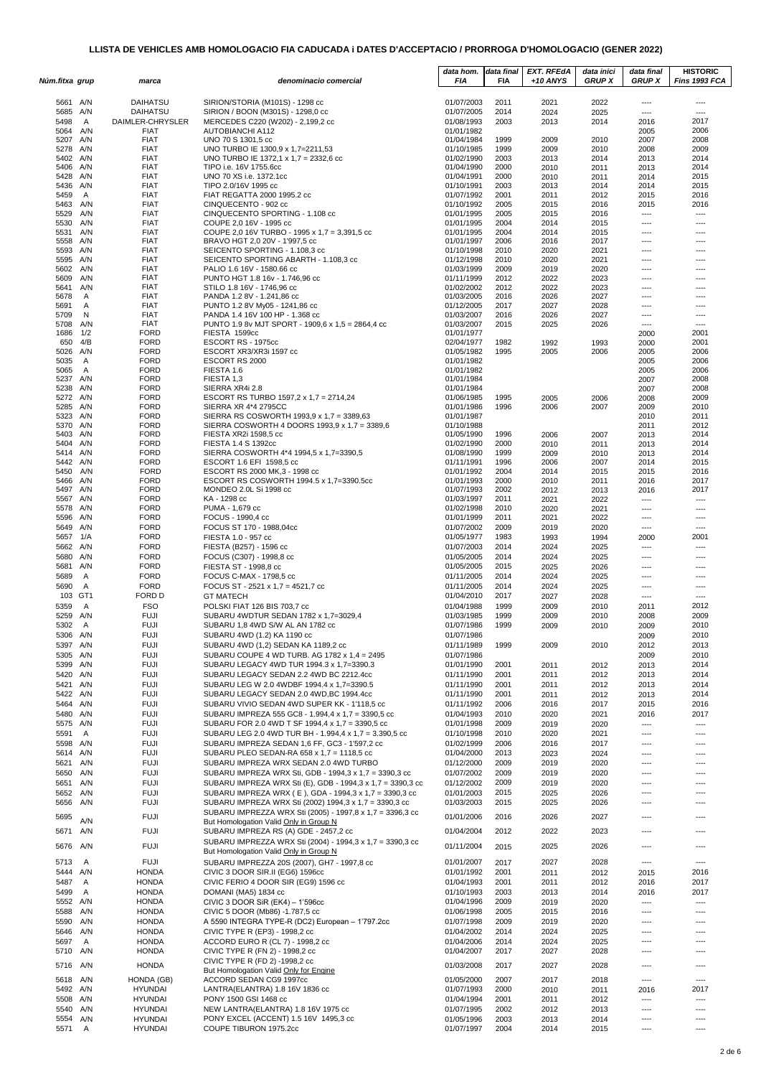|                      |                     |                              |                                                                                                     | data hom.                | data final   | <b>EXT. RFEdA</b> | data inici    | data final             | <b>HISTORIC</b>        |
|----------------------|---------------------|------------------------------|-----------------------------------------------------------------------------------------------------|--------------------------|--------------|-------------------|---------------|------------------------|------------------------|
| Núm.fitxa grup       |                     | marca                        | denominacio comercial                                                                               | FIA                      | FIA          | $+10$ ANYS        | <b>GRUP X</b> | <b>GRUP X</b>          | Fins 1993 FCA          |
| 5661                 | A/N                 | <b>DAIHATSU</b>              | SIRION/STORIA (M101S) - 1298 cc                                                                     | 01/07/2003               | 2011         | 2021              | 2022          | ----                   | $---$                  |
| 5685                 | A/N                 | <b>DAIHATSU</b>              | SIRION / BOON (M301S) - 1298,0 cc                                                                   | 01/07/2005               | 2014         | 2024              | 2025          | ----                   | $\overline{a}$         |
| 5498                 | A                   | DAIMLER-CHRYSLER             | MERCEDES C220 (W202) - 2,199,2 cc                                                                   | 01/08/1993               | 2003         | 2013              | 2014          | 2016                   | 2017<br>2006           |
| 5064<br>5207         | A/N<br>A/N          | <b>FIAT</b><br><b>FIAT</b>   | AUTOBIANCHI A112<br>UNO 70 S 1301,5 cc                                                              | 01/01/1982<br>01/04/1984 | 1999         | 2009              | 2010          | 2005<br>2007           | 2008                   |
| 5278                 | A/N                 | <b>FIAT</b>                  | UNO TURBO IE 1300,9 x 1,7=2211,53                                                                   | 01/10/1985               | 1999         | 2009              | 2010          | 2008                   | 2009                   |
| 5402<br>5406         | A/N<br>A/N          | <b>FIAT</b>                  | UNO TURBO IE 1372,1 x 1,7 = 2332,6 cc                                                               | 01/02/1990               | 2003         | 2013<br>2010      | 2014<br>2011  | 2013<br>2013           | 2014<br>2014           |
| 5428                 | A/N                 | <b>FIAT</b><br><b>FIAT</b>   | TIPO i.e. 16V 1755.6cc<br>UNO 70 XS i.e. 1372.1cc                                                   | 01/04/1990<br>01/04/1991 | 2000<br>2000 | 2010              | 2011          | 2014                   | 2015                   |
| 5436                 | A/N                 | <b>FIAT</b>                  | TIPO 2.0/16V 1995 cc                                                                                | 01/10/1991               | 2003         | 2013              | 2014          | 2014                   | 2015                   |
| 5459                 | A                   | <b>FIAT</b>                  | FIAT REGATTA 2000 1995.2 cc                                                                         | 01/07/1992               | 2001         | 2011              | 2012          | 2015                   | 2016                   |
| 5463<br>5529         | A/N<br>A/N          | <b>FIAT</b><br><b>FIAT</b>   | CINQUECENTO - 902 cc<br>CINQUECENTO SPORTING - 1.108 cc                                             | 01/10/1992<br>01/01/1995 | 2005<br>2005 | 2015<br>2015      | 2016<br>2016  | 2015<br>$\cdots$       | 2016<br>$\cdots$       |
| 5530                 | A/N                 | <b>FIAT</b>                  | COUPE 2,0 16V - 1995 cc                                                                             | 01/01/1995               | 2004         | 2014              | 2015          | $---$                  | ----                   |
| 5531                 | A/N                 | <b>FIAT</b>                  | COUPE 2,0 16V TURBO - 1995 x 1,7 = 3,391,5 cc                                                       | 01/01/1995               | 2004         | 2014              | 2015          | $\overline{a}$         | ----                   |
| 5558<br>5593         | A/N<br>A/N          | <b>FIAT</b><br><b>FIAT</b>   | BRAVO HGT 2,0 20V - 1'997,5 cc<br>SEICENTO SPORTING - 1.108,3 cc                                    | 01/01/1997<br>01/10/1998 | 2006<br>2010 | 2016<br>2020      | 2017<br>2021  | ----<br>----           | ----<br>----           |
| 5595                 | A/N                 | <b>FIAT</b>                  | SEICENTO SPORTING ABARTH - 1.108,3 cc                                                               | 01/12/1998               | 2010         | 2020              | 2021          | $---$                  | ----                   |
| 5602                 | A/N                 | <b>FIAT</b>                  | PALIO 1.6 16V - 1580.66 cc                                                                          | 01/03/1999               | 2009         | 2019              | 2020          | $---$                  | ----                   |
| 5609                 | A/N                 | <b>FIAT</b><br><b>FIAT</b>   | PUNTO HGT 1.8 16v - 1.746,96 cc                                                                     | 01/11/1999               | 2012         | 2022<br>2022      | 2023<br>2023  | ----<br>----           | ----<br>----           |
| 5641<br>5678         | A/N<br>A            | <b>FIAT</b>                  | STILO 1.8 16V - 1746,96 cc<br>PANDA 1.2 8V - 1.241,86 cc                                            | 01/02/2002<br>01/03/2005 | 2012<br>2016 | 2026              | 2027          | ----                   | ----                   |
| 5691                 | Α                   | <b>FIAT</b>                  | PUNTO 1.2 8V My05 - 1241,86 cc                                                                      | 01/12/2005               | 2017         | 2027              | 2028          | ----                   | ----                   |
| 5709                 | N                   | <b>FIAT</b>                  | PANDA 1.4 16V 100 HP - 1.368 cc                                                                     | 01/03/2007               | 2016         | 2026              | 2027          | $---$                  | ----                   |
| 5708<br>1686         | A/N<br>1/2          | <b>FIAT</b><br><b>FORD</b>   | PUNTO 1.9 8v MJT SPORT - 1909,6 x 1,5 = 2864,4 cc<br>FIESTA 1599cc                                  | 01/03/2007<br>01/01/1977 | 2015         | 2025              | 2026          | $\overline{a}$<br>2000 | ----<br>2001           |
| 650                  | 4/B                 | <b>FORD</b>                  | ESCORT RS - 1975cc                                                                                  | 02/04/1977               | 1982         | 1992              | 1993          | 2000                   | 2001                   |
| 5026                 | A/N                 | <b>FORD</b>                  | ESCORT XR3/XR3i 1597 cc                                                                             | 01/05/1982               | 1995         | 2005              | 2006          | 2005                   | 2006                   |
| 5035<br>5065         | $\mathsf{A}$<br>A   | <b>FORD</b><br><b>FORD</b>   | ESCORT RS 2000<br>FIESTA 1.6                                                                        | 01/01/1982<br>01/01/1982 |              |                   |               | 2005<br>2005           | 2006<br>2006           |
| 5237                 | A/N                 | <b>FORD</b>                  | FIESTA 1,3                                                                                          | 01/01/1984               |              |                   |               | 2007                   | 2008                   |
| 5238                 | A/N                 | <b>FORD</b>                  | SIERRA XR4i 2.8                                                                                     | 01/01/1984               |              |                   |               | 2007                   | 2008                   |
| 5272                 | A/N                 | <b>FORD</b>                  | ESCORT RS TURBO 1597,2 x 1,7 = 2714,24                                                              | 01/06/1985               | 1995         | 2005              | 2006          | 2008                   | 2009                   |
| 5285<br>5323         | A/N<br>A/N          | <b>FORD</b><br><b>FORD</b>   | SIERRA XR 4*4 2795CC<br>SIERRA RS COSWORTH 1993,9 x 1,7 = 3389,63                                   | 01/01/1986<br>01/01/1987 | 1996         | 2006              | 2007          | 2009<br>2010           | 2010<br>2011           |
| 5370                 | A/N                 | <b>FORD</b>                  | SIERRA COSWORTH 4 DOORS 1993,9 x 1.7 = 3389,6                                                       | 01/10/1988               |              |                   |               | 2011                   | 2012                   |
| 5403                 | A/N                 | <b>FORD</b>                  | FIESTA XR2i 1598,5 cc                                                                               | 01/05/1990               | 1996         | 2006              | 2007          | 2013                   | 2014                   |
| 5404<br>5414         | A/N<br>A/N          | <b>FORD</b><br><b>FORD</b>   | FIESTA 1.4 S 1392cc<br>SIERRA COSWORTH 4*4 1994,5 x 1,7=3390,5                                      | 01/02/1990<br>01/08/1990 | 2000<br>1999 | 2010              | 2011<br>2010  | 2013<br>2013           | 2014<br>2014           |
| 5442 A/N             |                     | <b>FORD</b>                  | ESCORT 1.6 EFI 1598,5 cc                                                                            | 01/11/1991               | 1996         | 2009<br>2006      | 2007          | 2014                   | 2015                   |
| 5450                 | A/N                 | <b>FORD</b>                  | ESCORT RS 2000 MK, 3 - 1998 cc                                                                      | 01/01/1992               | 2004         | 2014              | 2015          | 2015                   | 2016                   |
| 5466                 | A/N                 | <b>FORD</b>                  | ESCORT RS COSWORTH 1994.5 x 1,7=3390.5cc                                                            | 01/01/1993               | 2000         | 2010              | 2011          | 2016                   | 2017                   |
| 5497<br>5567         | A/N<br>A/N          | <b>FORD</b><br><b>FORD</b>   | MONDEO 2.0L Si 1998 cc<br>KA - 1298 cc                                                              | 01/07/1993<br>01/03/1997 | 2002<br>2011 | 2012<br>2021      | 2013<br>2022  | 2016<br>$\cdots$       | 2017<br>$\overline{a}$ |
| 5578                 | A/N                 | <b>FORD</b>                  | PUMA - 1,679 cc                                                                                     | 01/02/1998               | 2010         | 2020              | 2021          | $\cdots$               | ----                   |
| 5596                 | A/N                 | <b>FORD</b>                  | FOCUS - 1990,4 cc                                                                                   | 01/01/1999               | 2011         | 2021              | 2022          | ----                   | ----                   |
| 5649                 | A/N                 | <b>FORD</b>                  | FOCUS ST 170 - 1988,04cc                                                                            | 01/07/2002               | 2009         | 2019              | 2020          | ----                   | ----                   |
| 5657<br>5662         | 1/A<br>A/N          | <b>FORD</b><br><b>FORD</b>   | FIESTA 1.0 - 957 cc<br>FIESTA (B257) - 1596 cc                                                      | 01/05/1977<br>01/07/2003 | 1983<br>2014 | 1993<br>2024      | 1994<br>2025  | 2000<br>----           | 2001<br>$---$          |
| 5680                 | A/N                 | <b>FORD</b>                  | FOCUS (C307) - 1998,8 cc                                                                            | 01/05/2005               | 2014         | 2024              | 2025          | $---$                  | ----                   |
| 5681                 | A/N                 | <b>FORD</b>                  | FIESTA ST - 1998,8 cc                                                                               | 01/05/2005               | 2015         | 2025              | 2026          | ----                   | ----                   |
| 5689                 | A                   | <b>FORD</b>                  | FOCUS C-MAX - 1798,5 cc                                                                             | 01/11/2005               | 2014         | 2024              | 2025          | ----                   | ----                   |
| 5690                 | A                   | <b>FORD</b>                  | FOCUS ST - 2521 x 1,7 = 4521,7 cc                                                                   | 01/11/2005<br>01/04/2010 | 2014         | 2024              | 2025          | ----                   | ----                   |
| 103<br>5359          | GT1<br>$\mathsf{A}$ | FORD D<br><b>FSO</b>         | <b>GT MATECH</b><br>POLSKI FIAT 126 BIS 703,7 cc                                                    | 01/04/1988               | 2017<br>1999 | 2027<br>2009      | 2028<br>2010  | $\cdots$<br>2011       | ----<br>2012           |
| 5259                 | A/N                 | <b>FUJI</b>                  | SUBARU 4WDTUR SEDAN 1782 x 1,7=3029,4                                                               | 01/03/1985               | 1999         | 2009              | 2010          | 2008                   | 2009                   |
| 5302                 | A                   | <b>FUJI</b>                  | SUBARU 1,8 4WD S/W AL AN 1782 cc                                                                    | 01/07/1986               | 1999         | 2009              | 2010          | 2009                   | 2010                   |
| 5306 A/N             |                     | <b>FUJI</b>                  | SUBARU 4WD (1.2) KA 1190 cc                                                                         | 01/07/1986               |              |                   |               | 2009                   | 2010                   |
| 5397 A/N<br>5305     | A/N                 | <b>FUJI</b><br><b>FUJI</b>   | SUBARU 4WD (1,2) SEDAN KA 1189,2 cc<br>SUBARU COUPE 4 WD TURB. AG 1782 x 1,4 = 2495                 | 01/11/1989<br>01/07/1986 | 1999         | 2009              | 2010          | 2012<br>2009           | 2013<br>2010           |
| 5399 A/N             |                     | <b>FUJI</b>                  | SUBARU LEGACY 4WD TUR 1994.3 x 1,7=3390.3                                                           | 01/01/1990               | 2001         | 2011              | 2012          | 2013                   | 2014                   |
| 5420                 | A/N                 | <b>FUJI</b>                  | SUBARU LEGACY SEDAN 2.2 4WD BC 2212.4cc                                                             | 01/11/1990               | 2001         | 2011              | 2012          | 2013                   | 2014                   |
| 5421                 | A/N                 | <b>FUJI</b>                  | SUBARU LEG W 2.0 4WDBF 1994.4 x 1,7=3390.5                                                          | 01/11/1990               | 2001         | 2011              | 2012          | 2013                   | 2014                   |
| 5422 A/N             |                     | <b>FUJI</b>                  | SUBARU LEGACY SEDAN 2.0 4WD, BC 1994.4cc                                                            | 01/11/1990               | 2001         | 2011              | 2012          | 2013                   | 2014                   |
| 5464 A/N<br>5480     | A/N                 | <b>FUJI</b><br><b>FUJI</b>   | SUBARU VIVIO SEDAN 4WD SUPER KK - 1'118,5 cc<br>SUBARU IMPREZA 555 GC8 - 1.994,4 x 1,7 = 3390,5 cc  | 01/11/1992<br>01/04/1993 | 2006<br>2010 | 2016<br>2020      | 2017<br>2021  | 2015<br>2016           | 2016<br>2017           |
| 5575 A/N             |                     | <b>FUJI</b>                  | SUBARU FOR 2.0 4WD T SF 1994,4 x 1,7 = 3390,5 cc                                                    | 01/01/1998               | 2009         | 2019              | 2020          | $\cdots$               | ----                   |
| 5591                 | $\overline{A}$      | <b>FUJI</b>                  | SUBARU LEG 2.0 4WD TUR BH - 1.994,4 x 1,7 = 3.390,5 cc                                              | 01/10/1998               | 2010         | 2020              | 2021          | ----                   | ----                   |
| 5598 A/N             |                     | <b>FUJI</b>                  | SUBARU IMPREZA SEDAN 1,6 FF, GC3 - 1'597,2 cc                                                       | 01/02/1999               | 2006         | 2016              | 2017          | ----                   | ----                   |
| 5614<br>5621         | A/N<br>A/N          | <b>FUJI</b><br><b>FUJI</b>   | SUBARU PLEO SEDAN-RA 658 x 1,7 = 1118,5 cc<br>SUBARU IMPREZA WRX SEDAN 2.0 4WD TURBO                | 01/04/2000<br>01/12/2000 | 2013<br>2009 | 2023<br>2019      | 2024<br>2020  | ----<br>----           | ----<br>----           |
| 5650 A/N             |                     | <b>FUJI</b>                  | SUBARU IMPREZA WRX Sti, GDB - 1994,3 x 1,7 = 3390,3 cc                                              | 01/07/2002               | 2009         | 2019              | 2020          | ----                   | ----                   |
| 5651                 | A/N                 | <b>FUJI</b>                  | SUBARU IMPREZA WRX Sti (E), GDB - 1994,3 x 1,7 = 3390,3 cc                                          | 01/12/2002               | 2009         | 2019              | 2020          | $\cdots$               | $---$                  |
| 5652 A/N             |                     | <b>FUJI</b>                  | SUBARU IMPREZA WRX (E), GDA - 1994,3 x 1,7 = 3390,3 cc                                              | 01/01/2003               | 2015         | 2025              | 2026          | ----                   | ----                   |
| 5656 A/N             |                     | <b>FUJI</b>                  | SUBARU IMPREZA WRX Sti (2002) 1994,3 x 1,7 = 3390,3 cc                                              | 01/03/2003               | 2015         | 2025              | 2026          | $---$                  | ----                   |
| 5695                 | A/N                 | <b>FUJI</b>                  | SUBARU IMPREZZA WRX Sti (2005) - 1997,8 x 1,7 = 3396,3 cc<br>But Homologation Valid Only in Group N | 01/01/2006               | 2016         | 2026              | 2027          | $\cdots$               | ----                   |
| 5671                 | A/N                 | <b>FUJI</b>                  | SUBARU IMPREZA RS (A) GDE - 2457,2 cc                                                               | 01/04/2004               | 2012         | 2022              | 2023          | ----                   | ----                   |
| 5676                 | A/N                 | <b>FUJI</b>                  | SUBARU IMPREZZA WRX Sti (2004) - 1994,3 x 1,7 = 3390,3 cc                                           | 01/11/2004               | 2015         | 2025              | 2026          | $---$                  | ----                   |
|                      |                     |                              | But Homologation Valid Only in Group N                                                              |                          |              |                   |               |                        |                        |
| 5713                 | Α                   | <b>FUJI</b>                  | SUBARU IMPREZZA 20S (2007), GH7 - 1997,8 cc                                                         | 01/01/2007               | 2017         | 2027              | 2028          | $\cdots$               | ----                   |
| 5444 A/N<br>5487     | A                   | <b>HONDA</b><br><b>HONDA</b> | CIVIC 3 DOOR SIR.II (EG6) 1596cc<br>CIVIC FERIO 4 DOOR SIR (EG9) 1596 cc                            | 01/01/1992<br>01/04/1993 | 2001<br>2001 | 2011<br>2011      | 2012<br>2012  | 2015<br>2016           | 2016<br>2017           |
| 5499                 | A                   | <b>HONDA</b>                 | DOMANI (MA5) 1834 cc                                                                                | 01/10/1993               | 2003         | 2013              | 2014          | 2016                   | 2017                   |
| 5552 A/N             |                     | <b>HONDA</b>                 | CIVIC 3 DOOR SiR (EK4) - 1'596cc                                                                    | 01/04/1996               | 2009         | 2019              | 2020          | ----                   | $\overline{a}$         |
| 5588                 | A/N                 | <b>HONDA</b>                 | CIVIC 5 DOOR (Mb86) -1.787,5 cc                                                                     | 01/06/1998               | 2005         | 2015              | 2016          | ----                   | $---$                  |
| 5590                 | A/N                 | <b>HONDA</b>                 | A 5590 INTEGRA TYPE-R (DC2) European - 1'797.2cc                                                    | 01/07/1998               | 2009         | 2019              | 2020          | ----                   | ----                   |
| 5646<br>5697         | A/N<br>$\mathsf{A}$ | <b>HONDA</b><br><b>HONDA</b> | CIVIC TYPE R (EP3) - 1998,2 cc<br>ACCORD EURO R (CL 7) - 1998,2 cc                                  | 01/04/2002<br>01/04/2006 | 2014<br>2014 | 2024<br>2024      | 2025<br>2025  | ----<br>----           | ----<br>----           |
| 5710 A/N             |                     | <b>HONDA</b>                 | CIVIC TYPE R (FN 2) - 1998,2 cc                                                                     | 01/04/2007               | 2017         | 2027              | 2028          | $---$                  | ----                   |
| 5716 A/N             |                     | <b>HONDA</b>                 | CIVIC TYPE R (FD 2) -1998,2 cc                                                                      | 01/03/2008               | 2017         | 2027              | 2028          | $---$                  | ----                   |
|                      |                     |                              | But Homologation Valid Only for Engine                                                              |                          |              |                   |               |                        |                        |
| 5618 A/N<br>5492 A/N |                     | HONDA (GB)<br><b>HYUNDAI</b> | ACCORD SEDAN CG9 1997cc<br>LANTRA(ELANTRA) 1.8 16V 1836 cc                                          | 01/05/2000<br>01/07/1993 | 2007<br>2000 | 2017<br>2010      | 2018<br>2011  | $\cdots$               | ----<br>2017           |
| 5508                 | A/N                 | HYUNDAI                      | PONY 1500 GSI 1468 cc                                                                               | 01/04/1994               | 2001         | 2011              | 2012          | 2016<br>$\cdots$       | ----                   |
| 5540                 | A/N                 | <b>HYUNDAI</b>               | NEW LANTRA(ELANTRA) 1.8 16V 1975 cc                                                                 | 01/07/1995               | 2002         | 2012              | 2013          | ----                   | ----                   |
| 5554 A/N             |                     | <b>HYUNDAI</b>               | PONY EXCEL (ACCENT) 1.5 16V 1495,3 cc                                                               | 01/05/1996               | 2003         | 2013              | 2014          | ----                   | ----                   |
| 5571                 | Α                   | <b>HYUNDAI</b>               | COUPE TIBURON 1975.2cc                                                                              | 01/07/1997               | 2004         | 2014              | 2015          | ----                   | ----                   |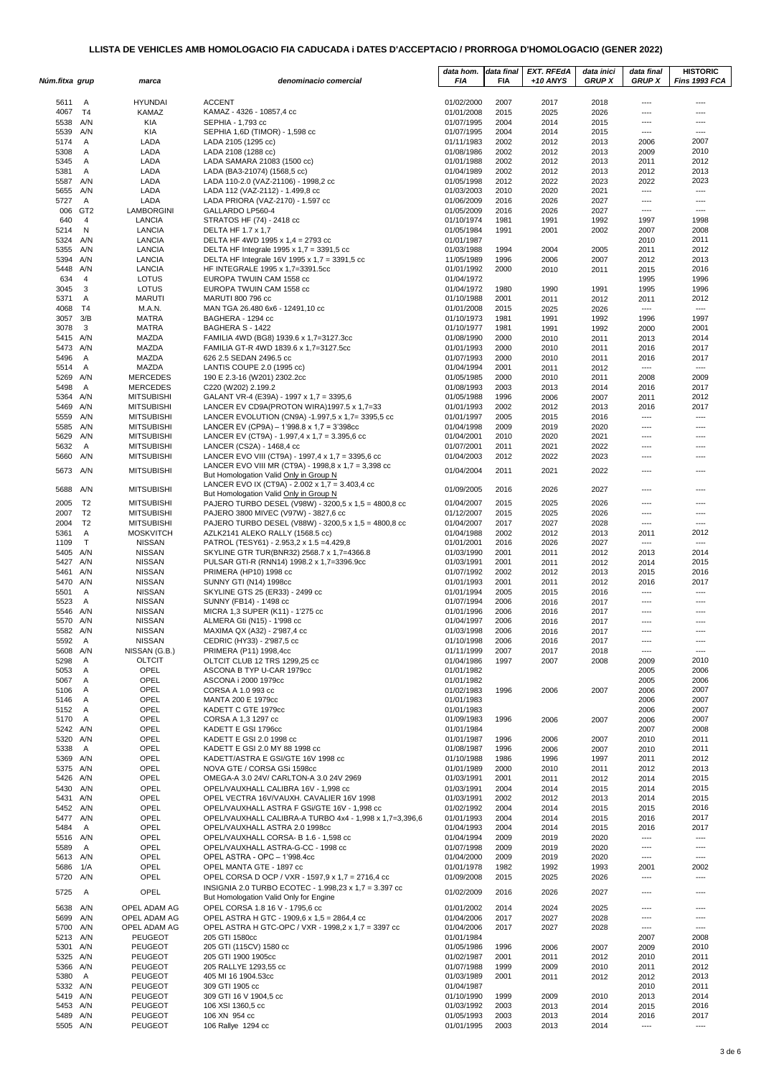| Núm.fitxa grup       |                | marca                                  | denominacio comercial                                                                                   | data hom.<br>FIA         | data final<br><b>FIA</b> | <b>EXT. RFEdA</b><br>$+10$ ANYS | data inici<br><b>GRUP X</b> | data final<br><b>GRUP X</b>      | <b>HISTORIC</b><br>Fins 1993 FCA |
|----------------------|----------------|----------------------------------------|---------------------------------------------------------------------------------------------------------|--------------------------|--------------------------|---------------------------------|-----------------------------|----------------------------------|----------------------------------|
|                      |                |                                        |                                                                                                         |                          |                          |                                 |                             |                                  |                                  |
| 5611                 | A              | <b>HYUNDAI</b>                         | <b>ACCENT</b>                                                                                           | 01/02/2000               | 2007                     | 2017                            | 2018                        | $---$                            | $\cdots$                         |
| 4067                 | T <sub>4</sub> | KAMAZ                                  | KAMAZ - 4326 - 10857,4 cc                                                                               | 01/01/2008               | 2015                     | 2025                            | 2026                        | ----                             | ----                             |
| 5538                 | A/N            | KIA                                    | SEPHIA - 1,793 cc                                                                                       | 01/07/1995               | 2004                     | 2014                            | 2015                        | ----                             | ----                             |
| 5539 A/N<br>5174     | A              | KIA<br>LADA                            | SEPHIA 1,6D (TIMOR) - 1,598 cc<br>LADA 2105 (1295 cc)                                                   | 01/07/1995<br>01/11/1983 | 2004<br>2002             | 2014<br>2012                    | 2015<br>2013                | ----<br>2006                     | $---$<br>2007                    |
| 5308                 | A              | LADA                                   | LADA 2108 (1288 cc)                                                                                     | 01/08/1986               | 2002                     | 2012                            | 2013                        | 2009                             | 2010                             |
| 5345                 | Α              | LADA                                   | LADA SAMARA 21083 (1500 cc)                                                                             | 01/01/1988               | 2002                     | 2012                            | 2013                        | 2011                             | 2012                             |
| 5381                 | A              | LADA                                   | LADA (BA3-21074) (1568,5 cc)                                                                            | 01/04/1989               | 2002                     | 2012                            | 2013                        | 2012                             | 2013                             |
| 5587 A/N             |                | LADA                                   | LADA 110-2.0 (VAZ-21106) - 1998,2 cc                                                                    | 01/05/1998               | 2012                     | 2022                            | 2023                        | 2022                             | 2023                             |
| 5655                 | A/N            | LADA                                   | LADA 112 (VAZ-2112) - 1.499,8 cc                                                                        | 01/03/2003               | 2010                     | 2020                            | 2021                        | $\overline{\phantom{a}}$         | ----                             |
| 5727                 | A<br>006 GT2   | LADA<br>LAMBORGINI                     | LADA PRIORA (VAZ-2170) - 1.597 cc<br>GALLARDO LP560-4                                                   | 01/06/2009<br>01/05/2009 | 2016<br>2016             | 2026<br>2026                    | 2027<br>2027                | ----<br>$---$                    | ----<br>----                     |
| 640                  | $\overline{4}$ | LANCIA                                 | STRATOS HF (74) - 2418 cc                                                                               | 01/10/1974               | 1981                     | 1991                            | 1992                        | 1997                             | 1998                             |
| 5214                 | $\mathsf{N}$   | LANCIA                                 | DELTA HF 1.7 x 1,7                                                                                      | 01/05/1984               | 1991                     | 2001                            | 2002                        | 2007                             | 2008                             |
| 5324 A/N             |                | LANCIA                                 | DELTA HF 4WD 1995 x 1,4 = 2793 cc                                                                       | 01/01/1987               |                          |                                 |                             | 2010                             | 2011                             |
| 5355 A/N             |                | LANCIA                                 | DELTA HF Integrale 1995 x 1,7 = 3391,5 cc                                                               | 01/03/1988               | 1994                     | 2004                            | 2005                        | 2011                             | 2012                             |
| 5394 A/N<br>5448 A/N |                | LANCIA<br>LANCIA                       | DELTA HF Integrale 16V 1995 x 1,7 = 3391,5 cc<br>HF INTEGRALE 1995 x 1,7=3391.5cc                       | 11/05/1989<br>01/01/1992 | 1996<br>2000             | 2006<br>2010                    | 2007                        | 2012                             | 2013<br>2016                     |
| 634                  | 4              | LOTUS                                  | EUROPA TWUIN CAM 1558 cc                                                                                | 01/04/1972               |                          |                                 | 2011                        | 2015<br>1995                     | 1996                             |
| 3045                 | 3              | LOTUS                                  | EUROPA TWUIN CAM 1558 cc                                                                                | 01/04/1972               | 1980                     | 1990                            | 1991                        | 1995                             | 1996                             |
| 5371                 | A              | <b>MARUTI</b>                          | MARUTI 800 796 cc                                                                                       | 01/10/1988               | 2001                     | 2011                            | 2012                        | 2011                             | 2012                             |
| 4068                 | T4             | M.A.N.                                 | MAN TGA 26.480 6x6 - 12491,10 cc                                                                        | 01/01/2008               | 2015                     | 2025                            | 2026                        | $\overline{\phantom{a}}$         | ----                             |
| 3057 3/B             |                | <b>MATRA</b>                           | BAGHERA - 1294 cc                                                                                       | 01/10/1973               | 1981                     | 1991                            | 1992                        | 1996                             | 1997                             |
| 3078<br>5415 A/N     | 3              | <b>MATRA</b><br>MAZDA                  | BAGHERA S - 1422<br>FAMILIA 4WD (BG8) 1939.6 x 1,7=3127.3cc                                             | 01/10/1977<br>01/08/1990 | 1981<br>2000             | 1991<br>2010                    | 1992<br>2011                | 2000<br>2013                     | 2001<br>2014                     |
| 5473 A/N             |                | MAZDA                                  | FAMILIA GT-R 4WD 1839.6 x 1,7=3127.5cc                                                                  | 01/01/1993               | 2000                     | 2010                            | 2011                        | 2016                             | 2017                             |
| 5496                 | $\overline{A}$ | MAZDA                                  | 626 2.5 SEDAN 2496.5 cc                                                                                 | 01/07/1993               | 2000                     | 2010                            | 2011                        | 2016                             | 2017                             |
| 5514                 | A              | MAZDA                                  | LANTIS COUPE 2.0 (1995 cc)                                                                              | 01/04/1994               | 2001                     | 2011                            | 2012                        | $\cdots$                         | ----                             |
| 5269 A/N             |                | <b>MERCEDES</b>                        | 190 E 2.3-16 (W201) 2302.2cc                                                                            | 01/05/1985               | 2000                     | 2010                            | 2011                        | 2008                             | 2009                             |
| 5498                 | A              | MERCEDES                               | C220 (W202) 2.199.2                                                                                     | 01/08/1993               | 2003                     | 2013                            | 2014                        | 2016                             | 2017                             |
| 5364 A/N<br>5469 A/N |                | <b>MITSUBISHI</b><br><b>MITSUBISHI</b> | GALANT VR-4 (E39A) - 1997 x 1,7 = 3395,6<br>LANCER EV CD9A(PROTON WIRA)1997.5 x 1,7=33                  | 01/05/1988<br>01/01/1993 | 1996<br>2002             | 2006                            | 2007<br>2013                | 2011<br>2016                     | 2012<br>2017                     |
| 5559 A/N             |                | <b>MITSUBISHI</b>                      | LANCER EVOLUTION (CN9A) -1.997,5 x 1,7= 3395,5 cc                                                       | 01/01/1997               | 2005                     | 2012<br>2015                    | 2016                        | $\overline{\phantom{a}}$         | ----                             |
| 5585                 | A/N            | <b>MITSUBISHI</b>                      | LANCER EV (CP9A) - 1'998.8 x 1,7 = 3'398cc                                                              | 01/04/1998               | 2009                     | 2019                            | 2020                        | ----                             | ----                             |
| 5629                 | A/N            | <b>MITSUBISHI</b>                      | LANCER EV (CT9A) - 1.997,4 x 1,7 = 3.395,6 cc                                                           | 01/04/2001               | 2010                     | 2020                            | 2021                        | ----                             | ----                             |
| 5632                 | $\mathsf{A}$   | <b>MITSUBISHI</b>                      | LANCER (CS2A) - 1468,4 cc                                                                               | 01/07/2001               | 2011                     | 2021                            | 2022                        | ----                             | ----                             |
| 5660                 | A/N            | <b>MITSUBISHI</b>                      | LANCER EVO VIII (CT9A) - 1997,4 x 1,7 = 3395,6 cc                                                       | 01/04/2003               | 2012                     | 2022                            | 2023                        | ----                             |                                  |
| 5673 A/N             |                | <b>MITSUBISHI</b>                      | LANCER EVO VIII MR (CT9A) - 1998,8 x 1,7 = 3,398 cc                                                     | 01/04/2004               | 2011                     | 2021                            | 2022                        | $---$                            | ----                             |
|                      |                |                                        | But Homologation Valid Only in Group N<br>LANCER EVO IX (CT9A) - 2.002 x 1,7 = 3.403,4 cc               |                          |                          |                                 |                             |                                  |                                  |
| 5688 A/N             |                | <b>MITSUBISHI</b>                      | But Homologation Valid Only in Group N                                                                  | 01/09/2005               | 2016                     | 2026                            | 2027                        | ----                             | $---$                            |
| 2005                 | T <sub>2</sub> | <b>MITSUBISHI</b>                      | PAJERO TURBO DESEL (V98W) - 3200,5 x 1,5 = 4800,8 cc                                                    | 01/04/2007               | 2015                     | 2025                            | 2026                        | $---$                            | ----                             |
| 2007                 | T <sub>2</sub> | <b>MITSUBISHI</b>                      | PAJERO 3800 MIVEC (V97W) - 3827,6 cc                                                                    | 01/12/2007               | 2015                     | 2025                            | 2026                        | ----                             | ----                             |
| 2004                 | T <sub>2</sub> | <b>MITSUBISHI</b>                      | PAJERO TURBO DESEL (V88W) - 3200,5 x 1,5 = 4800,8 cc                                                    | 01/04/2007               | 2017                     | 2027                            | 2028                        | ----                             | ----                             |
| 5361<br>1109         | Α<br>T         | <b>MOSKVITCH</b><br><b>NISSAN</b>      | AZLK2141 ALEKO RALLY (1568.5 cc)<br>PATROL (TESY61) - 2.953,2 x 1.5 = 4.429,8                           | 01/04/1988<br>01/01/2001 | 2002<br>2016             | 2012<br>2026                    | 2013<br>2027                | 2011<br>$\overline{\phantom{a}}$ | 2012<br>----                     |
| 5405 A/N             |                | <b>NISSAN</b>                          | SKYLINE GTR TUR(BNR32) 2568.7 x 1,7=4366.8                                                              | 01/03/1990               | 2001                     | 2011                            | 2012                        | 2013                             | 2014                             |
| 5427 A/N             |                | <b>NISSAN</b>                          | PULSAR GTI-R (RNN14) 1998.2 x 1,7=3396.9cc                                                              | 01/03/1991               | 2001                     | 2011                            | 2012                        | 2014                             | 2015                             |
| 5461 A/N             |                | <b>NISSAN</b>                          | PRIMERA (HP10) 1998 cc                                                                                  | 01/07/1992               | 2002                     | 2012                            | 2013                        | 2015                             | 2016                             |
| 5470 A/N             |                | <b>NISSAN</b>                          | SUNNY GTI (N14) 1998cc                                                                                  | 01/01/1993               | 2001                     | 2011                            | 2012                        | 2016                             | 2017                             |
| 5501                 | Α              | <b>NISSAN</b>                          | SKYLINE GTS 25 (ER33) - 2499 cc                                                                         | 01/01/1994               | 2005                     | 2015                            | 2016                        | $---$                            | $---$                            |
| 5523<br>5546 A/N     | $\overline{A}$ | <b>NISSAN</b><br><b>NISSAN</b>         | SUNNY (FB14) - 1'498 cc<br>MICRA 1,3 SUPER (K11) - 1'275 cc                                             | 01/07/1994<br>01/01/1996 | 2006<br>2006             | 2016<br>2016                    | 2017<br>2017                | $---$<br>----                    | $---$                            |
| 5570 A/N             |                | <b>NISSAN</b>                          | ALMERA Gti (N15) - 1'998 cc                                                                             | 01/04/1997               | 2006                     | 2016                            | 2017                        | ----                             |                                  |
| 5582 A/N             |                | <b>NISSAN</b>                          | MAXIMA QX (A32) - 2'987,4 cc                                                                            | 01/03/1998               | 2006                     | 2016                            | 2017                        | ----                             | $---$                            |
| 5592                 | Α              | <b>NISSAN</b>                          | CEDRIC (HY33) - 2'987,5 cc                                                                              | 01/10/1998               | 2006                     | 2016                            | 2017                        |                                  |                                  |
| 5608 A/N             |                | NISSAN (G.B.)                          | PRIMERA (P11) 1998,4cc                                                                                  | 01/11/1999               | 2007                     | 2017                            | 2018                        | $---$                            | $---$                            |
| 5298                 | A              | <b>OLTCIT</b><br>OPEL                  | OLTCIT CLUB 12 TRS 1299,25 cc<br>ASCONA B TYP U-CAR 1979cc                                              | 01/04/1986               | 1997                     | 2007                            | 2008                        | 2009                             | 2010                             |
| 5053<br>5067         | A<br>Α         | OPEL                                   | ASCONA i 2000 1979cc                                                                                    | 01/01/1982<br>01/01/1982 |                          |                                 |                             | 2005<br>2005                     | 2006<br>2006                     |
| 5106                 | A              | OPEL                                   | CORSA A 1.0 993 cc                                                                                      | 01/02/1983               | 1996                     | 2006                            | 2007                        | 2006                             | 2007                             |
| 5146                 | A              | OPEL                                   | MANTA 200 E 1979cc                                                                                      | 01/01/1983               |                          |                                 |                             | 2006                             | 2007                             |
| 5152 A               |                | OPEL                                   | KADETT C GTE 1979cc                                                                                     | 01/01/1983               |                          |                                 |                             | 2006                             | 2007                             |
| 5170 A               |                | OPEL                                   | CORSA A 1,3 1297 cc                                                                                     | 01/09/1983               | 1996                     | 2006                            | 2007                        | 2006                             | 2007                             |
| 5242 A/N<br>5320 A/N |                | OPEL<br>OPEL                           | KADETT E GSI 1796cc<br>KADETT E GSI 2.0 1998 cc                                                         | 01/01/1984<br>01/01/1987 | 1996                     |                                 |                             | 2007                             | 2008<br>2011                     |
| 5338                 | A              | OPEL                                   | KADETT E GSI 2.0 MY 88 1998 cc                                                                          | 01/08/1987               | 1996                     | 2006<br>2006                    | 2007<br>2007                | 2010<br>2010                     | 2011                             |
| 5369 A/N             |                | OPEL                                   | KADETT/ASTRA E GSI/GTE 16V 1998 cc                                                                      | 01/10/1988               | 1986                     | 1996                            | 1997                        | 2011                             | 2012                             |
| 5375 A/N             |                | OPEL                                   | NOVA GTE / CORSA GSi 1598cc                                                                             | 01/01/1989               | 2000                     | 2010                            | 2011                        | 2012                             | 2013                             |
| 5426 A/N             |                | OPEL                                   | OMEGA-A 3.0 24V/ CARLTON-A 3.0 24V 2969                                                                 | 01/03/1991               | 2001                     | 2011                            | 2012                        | 2014                             | 2015                             |
| 5430 A/N             |                | OPEL                                   | OPEL/VAUXHALL CALIBRA 16V - 1,998 cc                                                                    | 01/03/1991               | 2004                     | 2014                            | 2015                        | 2014                             | 2015                             |
| 5431 A/N             |                | OPEL<br>OPEL                           | OPEL VECTRA 16V/VAUXH. CAVALIER 16V 1998                                                                | 01/03/1991               | 2002                     | 2012                            | 2013                        | 2014<br>2015                     | 2015<br>2016                     |
| 5452 A/N<br>5477 A/N |                | OPEL                                   | OPEL/VAUXHALL ASTRA F GSi/GTE 16V - 1,998 cc<br>OPEL/VAUXHALL CALIBRA-A TURBO 4x4 - 1,998 x 1,7=3,396,6 | 01/02/1992<br>01/01/1993 | 2004<br>2004             | 2014<br>2014                    | 2015<br>2015                | 2016                             | 2017                             |
| 5484                 | A              | OPEL                                   | OPEL/VAUXHALL ASTRA 2.0 1998cc                                                                          | 01/04/1993               | 2004                     | 2014                            | 2015                        | 2016                             | 2017                             |
| 5516 A/N             |                | OPEL                                   | OPEL/VAUXHALL CORSA- B 1.6 - 1,598 cc                                                                   | 01/04/1994               | 2009                     | 2019                            | 2020                        | ----                             | ----                             |
| 5589                 | A              | OPEL                                   | OPEL/VAUXHALL ASTRA-G-CC - 1998 cc                                                                      | 01/07/1998               | 2009                     | 2019                            | 2020                        | $---$                            | ----                             |
| 5613 A/N             |                | OPEL                                   | OPEL ASTRA - OPC - 1'998.4cc                                                                            | 01/04/2000               | 2009                     | 2019                            | 2020                        | $---$                            | ----                             |
| 5686 1/A             |                | OPEL                                   | OPEL MANTA GTE - 1897 cc                                                                                | 01/01/1978               | 1982                     | 1992                            | 1993                        | 2001                             | 2002                             |
| 5720 A/N             |                | OPEL                                   | OPEL CORSA D OCP / VXR - 1597,9 x 1,7 = 2716,4 cc                                                       | 01/09/2008               | 2015                     | 2025                            | 2026                        | $---$                            | $---$                            |
| 5725                 | <b>A</b>       | OPEL                                   | INSIGNIA 2.0 TURBO ECOTEC - 1.998,23 x 1,7 = 3.397 cc<br>But Homologation Valid Only for Engine         | 01/02/2009               | 2016                     | 2026                            | 2027                        | $---$                            | ----                             |
| 5638 A/N             |                | OPEL ADAM AG                           | OPEL CORSA 1.8 16 V - 1795,6 cc                                                                         | 01/01/2002               | 2014                     | 2024                            | 2025                        | $---$                            | ----                             |
| 5699 A/N             |                | OPEL ADAM AG                           | OPEL ASTRA H GTC - 1909,6 x 1,5 = 2864,4 cc                                                             | 01/04/2006               | 2017                     | 2027                            | 2028                        | $\overline{\phantom{a}}$         | ----                             |
| 5700 A/N             |                | OPEL ADAM AG                           | OPEL ASTRA H GTC-OPC / VXR - 1998,2 x 1,7 = 3397 cc                                                     | 01/04/2006               | 2017                     | 2027                            | 2028                        | ----                             | $\cdots$                         |
| 5213 A/N             |                | PEUGEOT                                | 205 GTI 1580cc                                                                                          | 01/01/1984               |                          |                                 |                             | 2007                             | 2008                             |
| 5301 A/N             |                | <b>PEUGEOT</b>                         | 205 GTI (115CV) 1580 cc                                                                                 | 01/05/1986               | 1996                     | 2006                            | 2007                        | 2009                             | 2010                             |
| 5325 A/N             |                | <b>PEUGEOT</b>                         | 205 GTI 1900 1905cc                                                                                     | 01/02/1987               | 2001                     | 2011                            | 2012                        | 2010                             | 2011                             |
| 5366 A/N<br>5380 A   |                | <b>PEUGEOT</b><br>PEUGEOT              | 205 RALLYE 1293,55 cc<br>405 MI 16 1904.53cc                                                            | 01/07/1988<br>01/03/1989 | 1999<br>2001             | 2009<br>2011                    | 2010<br>2012                | 2011<br>2012                     | 2012<br>2013                     |
| 5332 A/N             |                | PEUGEOT                                | 309 GTI 1905 cc                                                                                         | 01/04/1987               |                          |                                 |                             | 2010                             | 2011                             |
| 5419 A/N             |                | PEUGEOT                                | 309 GTI 16 V 1904,5 cc                                                                                  | 01/10/1990               | 1999                     | 2009                            | 2010                        | 2013                             | 2014                             |
| 5453 A/N             |                | PEUGEOT                                | 106 XSI 1360,5 cc                                                                                       | 01/03/1992               | 2003                     | 2013                            | 2014                        | 2015                             | 2016                             |
| 5489 A/N             |                | PEUGEOT                                | 106 XN 954 cc                                                                                           | 01/05/1993               | 2003                     | 2013                            | 2014                        | 2016                             | 2017                             |
| 5505 A/N             |                | PEUGEOT                                | 106 Rallye 1294 cc                                                                                      | 01/01/1995               | 2003                     | 2013                            | 2014                        |                                  | $---$                            |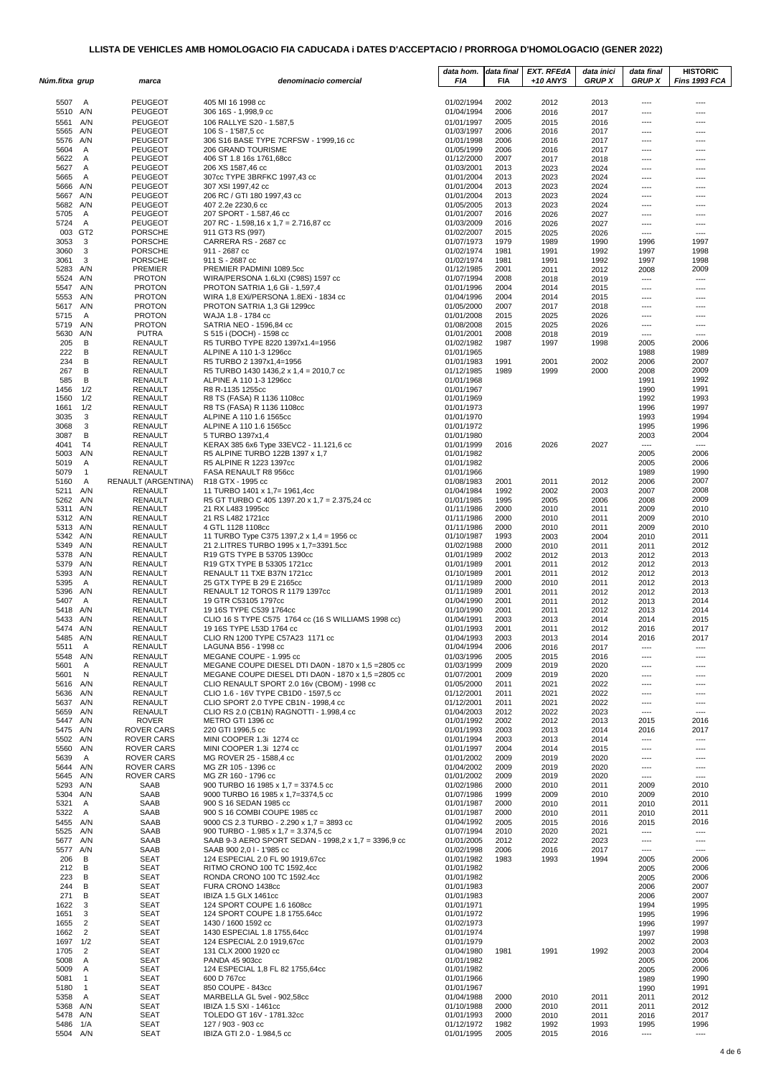| Núm.fitxa grup       |                                | marca                                  | denominacio comercial                                                            | data hom.<br>FIA         | data final<br><b>FIA</b> | <b>EXT. RFEdA</b><br>$+10$ ANYS | data inici<br><b>GRUP X</b> | data final<br><b>GRUP X</b> | <b>HISTORIC</b><br>Fins 1993 FCA |
|----------------------|--------------------------------|----------------------------------------|----------------------------------------------------------------------------------|--------------------------|--------------------------|---------------------------------|-----------------------------|-----------------------------|----------------------------------|
|                      |                                |                                        |                                                                                  |                          |                          |                                 |                             |                             |                                  |
| 5507                 | A                              | <b>PEUGEOT</b>                         | 405 MI 16 1998 cc                                                                | 01/02/1994               | 2002                     | 2012                            | 2013                        | ----                        | ----                             |
| 5510 A/N             |                                | <b>PEUGEOT</b>                         | 306 16S - 1,998,9 cc                                                             | 01/04/1994               | 2006                     | 2016                            | 2017                        | ----                        | $---$                            |
| 5561<br>5565 A/N     | A/N                            | <b>PEUGEOT</b><br><b>PEUGEOT</b>       | 106 RALLYE S20 - 1.587,5<br>106 S - 1'587,5 cc                                   | 01/01/1997<br>01/03/1997 | 2005<br>2006             | 2015<br>2016                    | 2016<br>2017                | ----<br>----                | ----<br>----                     |
| 5576 A/N             |                                | <b>PEUGEOT</b>                         | 306 S16 BASE TYPE 7CRFSW - 1'999,16 cc                                           | 01/01/1998               | 2006                     | 2016                            | 2017                        | $\cdots$                    | ----                             |
| 5604                 | A                              | <b>PEUGEOT</b>                         | 206 GRAND TOURISME                                                               | 01/05/1999               | 2006                     | 2016                            | 2017                        | ----                        | ----                             |
| 5622<br>5627         | A<br>A                         | <b>PEUGEOT</b><br><b>PEUGEOT</b>       | 406 ST 1.8 16s 1761,68cc<br>206 XS 1587,46 cc                                    | 01/12/2000<br>01/03/2001 | 2007<br>2013             | 2017<br>2023                    | 2018<br>2024                | ----<br>----                | ----<br>----                     |
| 5665                 | A                              | <b>PEUGEOT</b>                         | 307cc TYPE 3BRFKC 1997,43 cc                                                     | 01/01/2004               | 2013                     | 2023                            | 2024                        | ----                        | ----                             |
| 5666 A/N             |                                | <b>PEUGEOT</b>                         | 307 XSI 1997,42 cc                                                               | 01/01/2004               | 2013                     | 2023                            | 2024                        | ----                        | ----                             |
| 5667 A/N<br>5682     | A/N                            | <b>PEUGEOT</b><br><b>PEUGEOT</b>       | 206 RC / GTI 180 1997,43 cc<br>407 2.2e 2230,6 cc                                | 01/01/2004<br>01/05/2005 | 2013<br>2013             | 2023<br>2023                    | 2024<br>2024                | ----<br>----                | ----<br>----                     |
| 5705                 | A                              | <b>PEUGEOT</b>                         | 207 SPORT - 1.587,46 cc                                                          | 01/01/2007               | 2016                     | 2026                            | 2027                        | ----                        | ----                             |
| 5724                 | A                              | <b>PEUGEOT</b>                         | 207 RC - 1.598,16 x 1,7 = 2.716,87 cc                                            | 01/03/2009               | 2016                     | 2026                            | 2027                        | ----                        | ----                             |
| 3053                 | 003 GT2<br>3                   | <b>PORSCHE</b><br><b>PORSCHE</b>       | 911 GT3 RS (997)<br>CARRERA RS - 2687 cc                                         | 01/02/2007<br>01/07/1973 | 2015<br>1979             | 2025<br>1989                    | 2026<br>1990                | ----<br>1996                | ----<br>1997                     |
| 3060                 | 3                              | <b>PORSCHE</b>                         | 911 - 2687 cc                                                                    | 01/02/1974               | 1981                     | 1991                            | 1992                        | 1997                        | 1998                             |
| 3061                 | 3                              | <b>PORSCHE</b>                         | 911 S - 2687 cc                                                                  | 01/02/1974               | 1981                     | 1991                            | 1992                        | 1997                        | 1998                             |
| 5283 A/N<br>5524 A/N |                                | PREMIER<br><b>PROTON</b>               | PREMIER PADMINI 1089.5cc<br>WIRA/PERSONA 1.6LXI (C98S) 1597 cc                   | 01/12/1985<br>01/07/1994 | 2001<br>2008             | 2011<br>2018                    | 2012<br>2019                | 2008<br>----                | 2009<br>----                     |
| 5547 A/N             |                                | <b>PROTON</b>                          | <b>PROTON SATRIA 1,6 Gli - 1,597,4</b>                                           | 01/01/1996               | 2004                     | 2014                            | 2015                        | ----                        | ----                             |
| 5553                 | A/N                            | <b>PROTON</b>                          | WIRA 1,8 EXi/PERSONA 1.8EXi - 1834 cc                                            | 01/04/1996               | 2004                     | 2014                            | 2015                        | ----                        | ----                             |
| 5617<br>5715         | A/N<br>A                       | <b>PROTON</b><br><b>PROTON</b>         | PROTON SATRIA 1,3 Gli 1299cc<br>WAJA 1.8 - 1784 cc                               | 01/05/2000<br>01/01/2008 | 2007<br>2015             | 2017<br>2025                    | 2018<br>2026                | ----<br>$\cdots$            | ----<br>$\overline{\phantom{a}}$ |
| 5719 A/N             |                                | <b>PROTON</b>                          | SATRIA NEO - 1596,84 cc                                                          | 01/08/2008               | 2015                     | 2025                            | 2026                        | $\cdots$                    | $---$                            |
| 5630                 | A/N                            | PUTRA                                  | S 515 i (DOCH) - 1598 cc                                                         | 01/01/2001               | 2008                     | 2018                            | 2019                        | $\overline{a}$              | $---$                            |
| 205<br>222           | В<br>В                         | <b>RENAULT</b><br><b>RENAULT</b>       | R5 TURBO TYPE 8220 1397x1.4=1956<br>ALPINE A 110 1-3 1296cc                      | 01/02/1982<br>01/01/1965 | 1987                     | 1997                            | 1998                        | 2005<br>1988                | 2006<br>1989                     |
| 234                  | В                              | <b>RENAULT</b>                         | R5 TURBO 2 1397x1,4=1956                                                         | 01/01/1983               | 1991                     | 2001                            | 2002                        | 2006                        | 2007                             |
| 267                  | В                              | RENAULT                                | R5 TURBO 1430 1436,2 x 1,4 = 2010,7 cc                                           | 01/12/1985               | 1989                     | 1999                            | 2000                        | 2008                        | 2009                             |
| 585                  | В                              | RENAULT                                | ALPINE A 110 1-3 1296cc                                                          | 01/01/1968               |                          |                                 |                             | 1991                        | 1992                             |
| 1456<br>1560         | 1/2<br>1/2                     | <b>RENAULT</b><br>RENAULT              | R8 R-1135 1255cc<br>R8 TS (FASA) R 1136 1108cc                                   | 01/01/1967<br>01/01/1969 |                          |                                 |                             | 1990<br>1992                | 1991<br>1993                     |
| 1661                 | 1/2                            | <b>RENAULT</b>                         | R8 TS (FASA) R 1136 1108cc                                                       | 01/01/1973               |                          |                                 |                             | 1996                        | 1997                             |
| 3035                 | 3                              | <b>RENAULT</b>                         | ALPINE A 110 1.6 1565cc                                                          | 01/01/1970               |                          |                                 |                             | 1993                        | 1994                             |
| 3068<br>3087         | 3<br>В                         | RENAULT<br><b>RENAULT</b>              | ALPINE A 110 1.6 1565cc<br>5 TURBO 1397x1.4                                      | 01/01/1972<br>01/01/1980 |                          |                                 |                             | 1995<br>2003                | 1996<br>2004                     |
| 4041                 | T4                             | <b>RENAULT</b>                         | KERAX 385 6x6 Type 33EVC2 - 11.121,6 cc                                          | 01/01/1999               | 2016                     | 2026                            | 2027                        | ----                        | $\cdots$                         |
| 5003 A/N             |                                | <b>RENAULT</b>                         | R5 ALPINE TURBO 122B 1397 x 1,7                                                  | 01/01/1982               |                          |                                 |                             | 2005                        | 2006                             |
| 5019<br>5079         | Α<br>$\mathbf{1}$              | RENAULT<br><b>RENAULT</b>              | R5 ALPINE R 1223 1397cc<br>FASA RENAULT R8 956cc                                 | 01/01/1982<br>01/01/1966 |                          |                                 |                             | 2005<br>1989                | 2006<br>1990                     |
| 5160                 | A                              | RENAULT (ARGENTINA)                    | R <sub>18</sub> GTX - 1995 cc                                                    | 01/08/1983               | 2001                     | 2011                            | 2012                        | 2006                        | 2007                             |
| 5211 A/N             |                                | RENAULT                                | 11 TURBO 1401 x 1,7= 1961,4cc                                                    | 01/04/1984               | 1992                     | 2002                            | 2003                        | 2007                        | 2008                             |
| 5262 A/N<br>5311 A/N |                                | <b>RENAULT</b><br>RENAULT              | R5 GT TURBO C 405 1397.20 x 1,7 = 2.375,24 cc<br>21 RX L483 1995cc               | 01/01/1985<br>01/11/1986 | 1995<br>2000             | 2005<br>2010                    | 2006<br>2011                | 2008<br>2009                | 2009<br>2010                     |
| 5312 A/N             |                                | RENAULT                                | 21 RS L482 1721cc                                                                | 01/11/1986               | 2000                     | 2010                            | 2011                        | 2009                        | 2010                             |
| 5313 A/N             |                                | <b>RENAULT</b>                         | 4 GTL 1128 1108cc                                                                | 01/11/1986               | 2000                     | 2010                            | 2011                        | 2009                        | 2010                             |
| 5342 A/N             |                                | <b>RENAULT</b>                         | 11 TURBO Type C375 1397,2 x 1,4 = 1956 cc                                        | 01/10/1987               | 1993                     | 2003                            | 2004                        | 2010                        | 2011                             |
| 5349 A/N<br>5378 A/N |                                | <b>RENAULT</b><br>RENAULT              | 21 2.LITRES TURBO 1995 x 1,7=3391.5cc<br>R19 GTS TYPE B 53705 1390cc             | 01/02/1988<br>01/01/1989 | 2000<br>2002             | 2010<br>2012                    | 2011<br>2013                | 2011<br>2012                | 2012<br>2013                     |
| 5379 A/N             |                                | RENAULT                                | R19 GTX TYPE B 53305 1721cc                                                      | 01/01/1989               | 2001                     | 2011                            | 2012                        | 2012                        | 2013                             |
| 5393 A/N             |                                | <b>RENAULT</b>                         | RENAULT 11 TXE B37N 1721cc                                                       | 01/10/1989               | 2001                     | 2011                            | 2012                        | 2012                        | 2013                             |
| 5395<br>5396 A/N     | A                              | <b>RENAULT</b><br><b>RENAULT</b>       | 25 GTX TYPE B 29 E 2165cc<br>RENAULT 12 TOROS R 1179 1397cc                      | 01/11/1989<br>01/11/1989 | 2000<br>2001             | 2010<br>2011                    | 2011<br>2012                | 2012<br>2012                | 2013<br>2013                     |
| 5407                 | A                              | RENAULT                                | 19 GTR C53105 1797cc                                                             | 01/04/1990               | 2001                     | 2011                            | 2012                        | 2013                        | 2014                             |
| 5418 A/N             |                                | RENAULT                                | 19 16S TYPE C539 1764cc                                                          | 01/10/1990               | 2001                     | 2011                            | 2012                        | 2013                        | 2014                             |
| 5433<br>5474 A/N     | A/N                            | <b>RENAULT</b><br><b>RENAULT</b>       | CLIO 16 S TYPE C575 1764 cc (16 S WILLIAMS 1998 cc)<br>19 16S TYPE L53D 1764 cc  | 01/04/1991<br>01/01/1993 | 2003<br>2001             | 2013<br>2011                    | 2014<br>2012                | 2014<br>2016                | 2015<br>2017                     |
| 5485 A/N             |                                | <b>RENAULT</b>                         | CLIO RN 1200 TYPE C57A23 1171 cc                                                 | 01/04/1993               | 2003                     | 2013                            | 2014                        | 2016                        | 2017                             |
| 5511                 | A                              | <b>RENAULT</b>                         | LAGUNA B56 - 1'998 cc                                                            | 01/04/1994               | 2006                     | 2016                            | 2017                        | ----                        | ----                             |
| 5548 A/N<br>5601     | Α                              | <b>RENAULT</b><br><b>RENAULT</b>       | MEGANE COUPE - 1.995 cc<br>MEGANE COUPE DIESEL DTI DA0N - 1870 x 1,5 = 2805 cc   | 01/03/1996<br>01/03/1999 | 2005<br>2009             | 2015<br>2019                    | 2016<br>2020                | ----<br>----                | ----                             |
| 5601                 | N                              | RENAULT                                | MEGANE COUPE DIESEL DTI DA0N - 1870 x 1,5 = 2805 cc                              | 01/07/2001               | 2009                     | 2019                            | 2020                        | ----                        | ----                             |
| 5616 A/N             |                                | <b>RENAULT</b>                         | CLIO RENAULT SPORT 2.0 16v (CBOM) - 1998 cc                                      | 01/05/2000               | 2011                     | 2021                            | 2022                        | ----                        | ----                             |
| 5636 A/N<br>5637 A/N |                                | <b>RENAULT</b><br>RENAULT              | CLIO 1.6 - 16V TYPE CB1D0 - 1597,5 cc<br>CLIO SPORT 2.0 TYPE CB1N - 1998,4 cc    | 01/12/2001<br>01/12/2001 | 2011<br>2011             | 2021<br>2021                    | 2022<br>2022                | ----<br>----                | ----<br>----                     |
| 5659                 | A/N                            | <b>RENAULT</b>                         | CLIO RS 2.0 (CB1N) RAGNOTTI - 1.998.4 cc                                         | 01/04/2003               | 2012                     | 2022                            | 2023                        | ----                        | ----                             |
| 5447 A/N             |                                | <b>ROVER</b>                           | METRO GTI 1396 cc                                                                | 01/01/1992               | 2002                     | 2012                            | 2013                        | 2015                        | 2016                             |
| 5475 A/N<br>5502 A/N |                                | <b>ROVER CARS</b><br><b>ROVER CARS</b> | 220 GTI 1996,5 cc<br>MINI COOPER 1.3i 1274 cc                                    | 01/01/1993<br>01/01/1994 | 2003<br>2003             | 2013<br>2013                    | 2014<br>2014                | 2016<br>$\cdots$            | 2017<br>$\overline{\phantom{a}}$ |
| 5560 A/N             |                                | <b>ROVER CARS</b>                      | MINI COOPER 1.3i 1274 cc                                                         | 01/01/1997               | 2004                     | 2014                            | 2015                        | ----                        | $---$                            |
| 5639                 | A                              | ROVER CARS                             | MG ROVER 25 - 1588,4 cc                                                          | 01/01/2002               | 2009                     | 2019                            | 2020                        | ----                        | ----                             |
| 5644 A/N<br>5645     | A/N                            | <b>ROVER CARS</b><br><b>ROVER CARS</b> | MG ZR 105 - 1396 cc<br>MG ZR 160 - 1796 cc                                       | 01/04/2002<br>01/01/2002 | 2009<br>2009             | 2019<br>2019                    | 2020<br>2020                | ----<br>----                | ----<br>----                     |
| 5293 A/N             |                                | SAAB                                   | 900 TURBO 16 1985 x 1,7 = 3374.5 cc                                              | 01/02/1986               | 2000                     | 2010                            | 2011                        | 2009                        | 2010                             |
| 5304 A/N             |                                | SAAB<br>SAAB                           | 9000 TURBO 16 1985 x 1,7=3374,5 cc<br>900 S 16 SEDAN 1985 cc                     | 01/07/1986               | 1999<br>2000             | 2009                            | 2010                        | 2009                        | 2010<br>2011                     |
| 5321<br>5322         | A<br>A                         | SAAB                                   | 900 S 16 COMBI COUPE 1985 cc                                                     | 01/01/1987<br>01/01/1987 | 2000                     | 2010<br>2010                    | 2011<br>2011                | 2010<br>2010                | 2011                             |
| 5455 A/N             |                                | SAAB                                   | 9000 CS 2.3 TURBO - 2.290 x 1,7 = 3893 cc                                        | 01/04/1992               | 2005                     | 2015                            | 2016                        | 2015                        | 2016                             |
| 5525 A/N             |                                | SAAB                                   | 900 TURBO - 1.985 x 1,7 = 3.374,5 cc                                             | 01/07/1994               | 2010                     | 2020                            | 2021                        | $\cdots$                    | $\overline{\phantom{a}}$         |
| 5677 A/N<br>5577 A/N |                                | SAAB<br>SAAB                           | SAAB 9-3 AERO SPORT SEDAN - 1998,2 x 1,7 = 3396,9 cc<br>SAAB 900 2,01 - 1'985 cc | 01/01/2005<br>01/02/1998 | 2012<br>2006             | 2022<br>2016                    | 2023<br>2017                | $\cdots$<br>----            | $---$<br>----                    |
| 206                  | В                              | <b>SEAT</b>                            | 124 ESPECIAL 2.0 FL 90 1919,67cc                                                 | 01/01/1982               | 1983                     | 1993                            | 1994                        | 2005                        | 2006                             |
| 212                  | в                              | <b>SEAT</b>                            | RITMO CRONO 100 TC 1592,4cc                                                      | 01/01/1982               |                          |                                 |                             | 2005                        | 2006                             |
| 223<br>244           | В<br>В                         | <b>SEAT</b><br><b>SEAT</b>             | RONDA CRONO 100 TC 1592.4cc<br>FURA CRONO 1438cc                                 | 01/01/1982<br>01/01/1983 |                          |                                 |                             | 2005<br>2006                | 2006<br>2007                     |
| 271                  | в                              | <b>SEAT</b>                            | IBIZA 1.5 GLX 1461cc                                                             | 01/01/1983               |                          |                                 |                             | 2006                        | 2007                             |
| 1622                 | 3                              | <b>SEAT</b>                            | 124 SPORT COUPE 1.6 1608cc                                                       | 01/01/1971               |                          |                                 |                             | 1994                        | 1995                             |
| 1651<br>1655         | 3<br>2                         | <b>SEAT</b><br><b>SEAT</b>             | 124 SPORT COUPE 1.8 1755.64cc<br>1430 / 1600 1592 cc                             | 01/01/1972<br>01/02/1973 |                          |                                 |                             | 1995<br>1996                | 1996<br>1997                     |
| 1662                 | $\overline{2}$                 | <b>SEAT</b>                            | 1430 ESPECIAL 1.8 1755,64cc                                                      | 01/01/1974               |                          |                                 |                             | 1997                        | 1998                             |
| 1697                 | 1/2                            | <b>SEAT</b>                            | 124 ESPECIAL 2.0 1919,67cc                                                       | 01/01/1979               |                          |                                 |                             | 2002                        | 2003                             |
| 1705<br>5008         | $\overline{2}$<br>$\mathsf{A}$ | <b>SEAT</b><br><b>SEAT</b>             | 131 CLX 2000 1920 cc<br>PANDA 45 903cc                                           | 01/04/1980<br>01/01/1982 | 1981                     | 1991                            | 1992                        | 2003                        | 2004<br>2006                     |
| 5009                 | $\overline{A}$                 | <b>SEAT</b>                            | 124 ESPECIAL 1,8 FL 82 1755,64cc                                                 | 01/01/1982               |                          |                                 |                             | 2005<br>2005                | 2006                             |
| 5081                 | $\mathbf{1}$                   | <b>SEAT</b>                            | 600 D 767cc                                                                      | 01/01/1966               |                          |                                 |                             | 1989                        | 1990                             |
| 5180<br>5358         | $\mathbf{1}$<br>A              | <b>SEAT</b><br><b>SEAT</b>             | 850 COUPE - 843cc<br>MARBELLA GL 5vel - 902,58cc                                 | 01/01/1967<br>01/04/1988 | 2000                     |                                 |                             | 1990                        | 1991<br>2012                     |
| 5368 A/N             |                                | <b>SEAT</b>                            | IBIZA 1.5 SXI - 1461cc                                                           | 01/10/1988               | 2000                     | 2010<br>2010                    | 2011<br>2011                | 2011<br>2011                | 2012                             |
| 5478 A/N             |                                | <b>SEAT</b>                            | TOLEDO GT 16V - 1781.32cc                                                        | 01/01/1993               | 2000                     | 2010                            | 2011                        | 2016                        | 2017                             |
| 5486<br>5504 A/N     | 1/A                            | <b>SEAT</b><br><b>SEAT</b>             | 127 / 903 - 903 cc<br>IBIZA GTI 2.0 - 1.984,5 cc                                 | 01/12/1972<br>01/01/1995 | 1982<br>2005             | 1992<br>2015                    | 1993<br>2016                | 1995<br>----                | 1996<br>----                     |
|                      |                                |                                        |                                                                                  |                          |                          |                                 |                             |                             |                                  |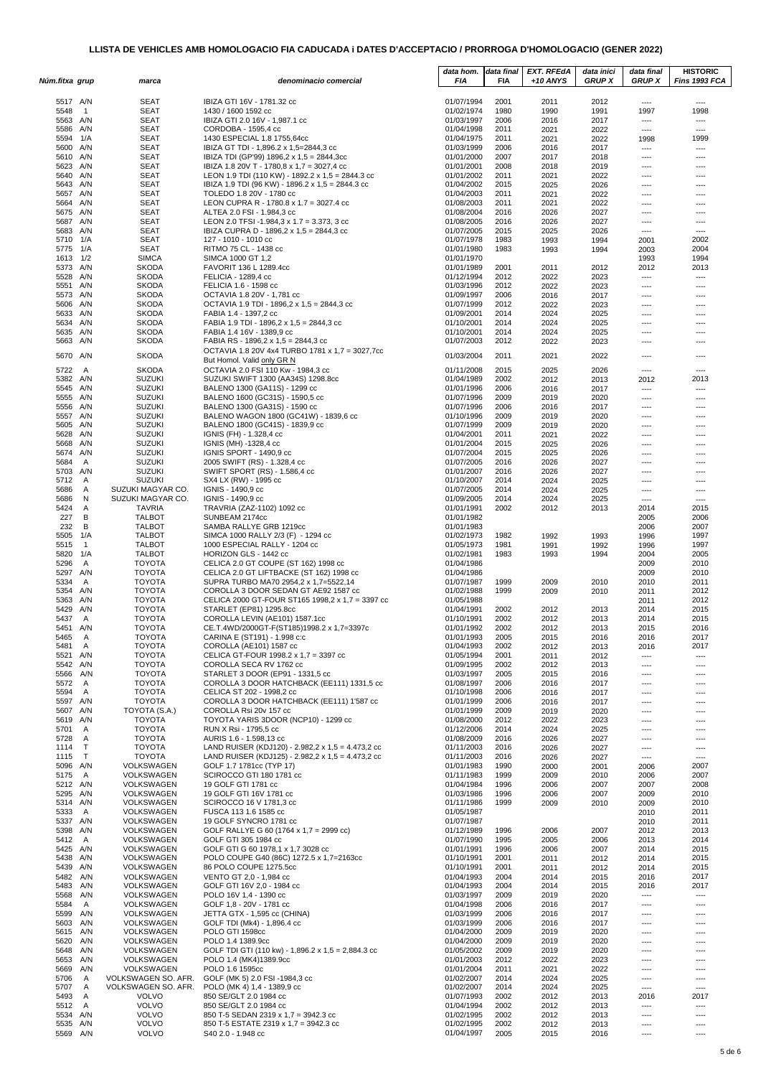| Núm.fitxa grup       |                       | marca                                      | denominacio comercial                                                                                | data hom.<br>FIA         | data final<br>FIA | <b>EXT. RFEdA</b><br>$+10$ ANYS | data inici<br><b>GRUP X</b> | data final<br><b>GRUP X</b> | <b>HISTORIC</b><br>Fins 1993 FCA |
|----------------------|-----------------------|--------------------------------------------|------------------------------------------------------------------------------------------------------|--------------------------|-------------------|---------------------------------|-----------------------------|-----------------------------|----------------------------------|
|                      |                       |                                            |                                                                                                      |                          |                   |                                 |                             |                             |                                  |
| 5517 A/N<br>5548     | $\overline{1}$        | <b>SEAT</b><br><b>SEAT</b>                 | IBIZA GTI 16V - 1781.32 cc<br>1430 / 1600 1592 cc                                                    | 01/07/1994<br>01/02/1974 | 2001<br>1980      | 2011                            | 2012                        | ----                        | $---$<br>1998                    |
| 5563 A/N             |                       | <b>SEAT</b>                                | IBIZA GTI 2.0 16V - 1,987.1 cc                                                                       | 01/03/1997               | 2006              | 1990<br>2016                    | 1991<br>2017                | 1997<br>----                | ----                             |
| 5586 A/N             |                       | <b>SEAT</b>                                | CORDOBA - 1595,4 cc                                                                                  | 01/04/1998               | 2011              | 2021                            | 2022                        | ----                        | ----                             |
| 5594 1/A<br>5600 A/N |                       | <b>SEAT</b><br><b>SEAT</b>                 | 1430 ESPECIAL 1.8 1755,64cc<br>IBIZA GT TDI - 1,896.2 x 1,5=2844,3 cc                                | 01/04/1975<br>01/03/1999 | 2011<br>2006      | 2021<br>2016                    | 2022<br>2017                | 1998<br>----                | 1999<br>$\overline{\phantom{a}}$ |
| 5610 A/N             |                       | <b>SEAT</b>                                | IBIZA TDI (GP'99) 1896,2 x 1,5 = 2844,3cc                                                            | 01/01/2000               | 2007              | 2017                            | 2018                        | $\cdots$                    | ----                             |
| 5623 A/N             |                       | <b>SEAT</b>                                | IBIZA 1.8 20V T - 1780,8 x 1,7 = 3027,4 cc                                                           | 01/01/2001               | 2008              | 2018                            | 2019                        | ----                        | ----                             |
| 5640 A/N<br>5643 A/N |                       | <b>SEAT</b><br><b>SEAT</b>                 | LEON 1.9 TDI (110 KW) - 1892.2 x 1,5 = 2844.3 cc<br>IBIZA 1.9 TDI (96 KW) - 1896.2 x 1,5 = 2844.3 cc | 01/01/2002<br>01/04/2002 | 2011<br>2015      | 2021<br>2025                    | 2022<br>2026                | ----<br>----                | ----<br>----                     |
| 5657 A/N             |                       | <b>SEAT</b>                                | TOLEDO 1.8 20V - 1780 cc                                                                             | 01/04/2003               | 2011              | 2021                            | 2022                        | $\cdots$                    | $---$                            |
| 5664 A/N             |                       | <b>SEAT</b>                                | LEON CUPRA R - 1780.8 x 1.7 = 3027.4 cc                                                              | 01/08/2003               | 2011              | 2021                            | 2022                        | ----                        | ----                             |
| 5675 A/N<br>5687 A/N |                       | <b>SEAT</b><br><b>SEAT</b>                 | ALTEA 2.0 FSI - 1.984,3 cc<br>LEON 2.0 TFSI -1.984,3 x 1.7 = 3.373, 3 cc                             | 01/08/2004<br>01/08/2005 | 2016<br>2016      | 2026<br>2026                    | 2027<br>2027                | ----<br>----                | ----<br>----                     |
| 5683 A/N             |                       | <b>SEAT</b>                                | IBIZA CUPRA D - 1896,2 x 1,5 = 2844,3 cc                                                             | 01/07/2005               | 2015              | 2025                            | 2026                        | ----                        | ----                             |
| 5710 1/A             |                       | <b>SEAT</b>                                | 127 - 1010 - 1010 cc                                                                                 | 01/07/1978               | 1983              | 1993                            | 1994                        | 2001                        | 2002                             |
| 5775 1/A<br>1613     | 1/2                   | <b>SEAT</b><br><b>SIMCA</b>                | RITMO 75 CL - 1438 cc<br>SIMCA 1000 GT 1,2                                                           | 01/01/1980<br>01/01/1970 | 1983              | 1993                            | 1994                        | 2003<br>1993                | 2004<br>1994                     |
| 5373 A/N             |                       | <b>SKODA</b>                               | FAVORIT 136 L 1289.4cc                                                                               | 01/01/1989               | 2001              | 2011                            | 2012                        | 2012                        | 2013                             |
| 5528 A/N             |                       | <b>SKODA</b>                               | FELICIA - 1289,4 cc                                                                                  | 01/12/1994               | 2012              | 2022                            | 2023                        | $\cdots$                    | ----                             |
| 5551 A/N<br>5573 A/N |                       | <b>SKODA</b><br><b>SKODA</b>               | FELICIA 1.6 - 1598 cc<br>OCTAVIA 1.8 20V - 1,781 cc                                                  | 01/03/1996<br>01/09/1997 | 2012<br>2006      | 2022<br>2016                    | 2023<br>2017                | ----<br>----                | $\overline{\phantom{a}}$<br>---- |
| 5606                 | A/N                   | <b>SKODA</b>                               | OCTAVIA 1.9 TDI - 1896,2 x 1,5 = 2844,3 cc                                                           | 01/07/1999               | 2012              | 2022                            | 2023                        | ----                        | ----                             |
| 5633 A/N             |                       | <b>SKODA</b>                               | FABIA 1.4 - 1397,2 cc                                                                                | 01/09/2001               | 2014              | 2024                            | 2025                        | ----                        | ----                             |
| 5634 A/N             |                       | <b>SKODA</b>                               | FABIA 1.9 TDI - 1896,2 x 1,5 = 2844,3 cc                                                             | 01/10/2001               | 2014              | 2024                            | 2025                        | ----                        | ----                             |
| 5635 A/N<br>5663 A/N |                       | <b>SKODA</b><br><b>SKODA</b>               | FABIA 1.4 16V - 1389,9 cc<br>FABIA RS - 1896,2 x 1,5 = 2844,3 cc                                     | 01/10/2001<br>01/07/2003 | 2014<br>2012      | 2024<br>2022                    | 2025<br>2023                | $\cdots$<br>----            | ----<br>----                     |
|                      |                       |                                            | OCTAVIA 1.8 20V 4x4 TURBO 1781 x 1,7 = 3027,7cc                                                      | 01/03/2004               |                   | 2021                            | 2022                        | $\cdots$                    | $---$                            |
| 5670 A/N             |                       | <b>SKODA</b>                               | But Homol. Valid only GR N                                                                           |                          | 2011              |                                 |                             |                             |                                  |
| 5722 A<br>5382 A/N   |                       | <b>SKODA</b><br><b>SUZUKI</b>              | OCTAVIA 2.0 FSI 110 Kw - 1984,3 cc<br>SUZUKI SWIFT 1300 (AA34S) 1298.8cc                             | 01/11/2008<br>01/04/1989 | 2015<br>2002      | 2025<br>2012                    | 2026<br>2013                | ----<br>2012                | ----<br>2013                     |
| 5545 A/N             |                       | <b>SUZUKI</b>                              | BALENO 1300 (GA11S) - 1299 cc                                                                        | 01/01/1996               | 2006              | 2016                            | 2017                        | ----                        | $---$                            |
| 5555 A/N             |                       | <b>SUZUKI</b>                              | BALENO 1600 (GC31S) - 1590,5 cc                                                                      | 01/07/1996               | 2009              | 2019                            | 2020                        | ----                        | ----                             |
| 5556 A/N             |                       | <b>SUZUKI</b>                              | BALENO 1300 (GA31S) - 1590 cc                                                                        | 01/07/1996               | 2006              | 2016                            | 2017                        | ----                        | ----                             |
| 5557 A/N<br>5605 A/N |                       | <b>SUZUKI</b><br><b>SUZUKI</b>             | BALENO WAGON 1800 (GC41W) - 1839,6 cc<br>BALENO 1800 (GC41S) - 1839,9 cc                             | 01/10/1996<br>01/07/1999 | 2009<br>2009      | 2019<br>2019                    | 2020<br>2020                | $\cdots$<br>----            | ----<br>----                     |
| 5628                 | A/N                   | <b>SUZUKI</b>                              | IGNIS (FH) - 1.328,4 cc                                                                              | 01/04/2001               | 2011              | 2021                            | 2022                        | ----                        | ----                             |
| 5668 A/N             |                       | <b>SUZUKI</b>                              | IGNIS (MH) -1328,4 cc                                                                                | 01/01/2004               | 2015              | 2025                            | 2026                        | ----                        | ----                             |
| 5674 A/N<br>5684     | A                     | <b>SUZUKI</b><br><b>SUZUKI</b>             | IGNIS SPORT - 1490,9 cc<br>2005 SWIFT (RS) - 1.328,4 cc                                              | 01/07/2004<br>01/07/2005 | 2015<br>2016      | 2025<br>2026                    | 2026<br>2027                | ----<br>$\cdots$            | ----<br>----                     |
| 5703 A/N             |                       | <b>SUZUKI</b>                              | SWIFT SPORT (RS) - 1.586,4 cc                                                                        | 01/01/2007               | 2016              | 2026                            | 2027                        | ----                        | ----                             |
| 5712                 | A                     | <b>SUZUKI</b>                              | SX4 LX (RW) - 1995 cc                                                                                | 01/10/2007               | 2014              | 2024                            | 2025                        | ----                        | ----                             |
| 5686<br>5686         | $\overline{A}$<br>N   | SUZUKI MAGYAR CO.<br>SUZUKI MAGYAR CO.     | IGNIS - 1490,9 cc<br>IGNIS - 1490,9 cc                                                               | 01/07/2005<br>01/09/2005 | 2014<br>2014      | 2024<br>2024                    | 2025<br>2025                | ----<br>----                | ----<br>$\overline{\phantom{a}}$ |
| 5424                 | Α                     | <b>TAVRIA</b>                              | TRAVRIA (ZAZ-1102) 1092 cc                                                                           | 01/01/1991               | 2002              | 2012                            | 2013                        | 2014                        | 2015                             |
| 227                  | В                     | <b>TALBOT</b>                              | SUNBEAM 2174cc                                                                                       | 01/01/1982               |                   |                                 |                             | 2005                        | 2006                             |
| 232                  | В                     | <b>TALBOT</b>                              | SAMBA RALLYE GRB 1219cc                                                                              | 01/01/1983               |                   |                                 |                             | 2006                        | 2007                             |
| 5505<br>5515         | 1/A<br>$\overline{1}$ | <b>TALBOT</b><br><b>TALBOT</b>             | SIMCA 1000 RALLY 2/3 (F) - 1294 cc<br>1000 ESPECIAL RALLY - 1204 cc                                  | 01/02/1973<br>01/05/1973 | 1982<br>1981      | 1992<br>1991                    | 1993<br>1992                | 1996<br>1996                | 1997<br>1997                     |
| 5820 1/A             |                       | <b>TALBOT</b>                              | HORIZON GLS - 1442 cc                                                                                | 01/02/1981               | 1983              | 1993                            | 1994                        | 2004                        | 2005                             |
| 5296<br>5297 A/N     | A                     | <b>TOYOTA</b>                              | CELICA 2.0 GT COUPE (ST 162) 1998 cc                                                                 | 01/04/1986               |                   |                                 |                             | 2009                        | 2010                             |
| 5334                 | A                     | <b>TOYOTA</b><br><b>TOYOTA</b>             | CELICA 2.0 GT LIFTBACKE (ST 162) 1998 cc<br>SUPRA TURBO MA70 2954,2 x 1,7=5522,14                    | 01/04/1986<br>01/07/1987 | 1999              | 2009                            | 2010                        | 2009<br>2010                | 2010<br>2011                     |
| 5354 A/N             |                       | <b>TOYOTA</b>                              | COROLLA 3 DOOR SEDAN GT AE92 1587 cc                                                                 | 01/02/1988               | 1999              | 2009                            | 2010                        | 2011                        | 2012                             |
| 5363 A/N             |                       | <b>TOYOTA</b>                              | CELICA 2000 GT-FOUR ST165 1998,2 x 1,7 = 3397 cc                                                     | 01/05/1988               |                   |                                 |                             | 2011                        | 2012                             |
| 5429 A/N<br>5437     | $\mathsf{A}$          | <b>TOYOTA</b><br><b>TOYOTA</b>             | STARLET (EP81) 1295.8cc<br>COROLLA LEVIN (AE101) 1587.1cc                                            | 01/04/1991<br>01/10/1991 | 2002<br>2002      | 2012<br>2012                    | 2013<br>2013                | 2014<br>2014                | 2015<br>2015                     |
| 5451 A/N             |                       | <b>TOYOTA</b>                              | CE.T.4WD/2000GT-F(ST185)1998.2 x 1,7=3397c                                                           | 01/01/1992               | 2002              | 2012                            | 2013                        | 2015                        | 2016                             |
| 5465                 | A                     | <b>TOYOTA</b>                              | CARINA E (ST191) - 1.998 c:c                                                                         | 01/01/1993               | 2005              | 2015                            | 2016                        | 2016                        | 2017                             |
| 5481<br>5521 A/N     | A                     | <b>TOYOTA</b><br><b>TOYOTA</b>             | COROLLA (AE101) 1587 cc<br>CELICA GT-FOUR 1998.2 x 1.7 = 3397 cc                                     | 01/04/1993<br>01/05/1994 | 2002<br>2001      | 2012<br>2011                    | 2013<br>2012                | 2016<br>$---$               | 2017<br>----                     |
| 5542 A/N             |                       | <b>TOYOTA</b>                              | COROLLA SECA RV 1762 cc                                                                              | 01/09/1995               | 2002              | 2012                            | 2013                        | ----                        | ----                             |
| 5566 A/N             |                       | <b>TOYOTA</b>                              | STARLET 3 DOOR (EP91 - 1331,5 cc<br>COROLLA 3 DOOR HATCHBACK (EE111) 1331,5 cc                       | 01/03/1997               | 2005              | 2015                            | 2016                        | ----                        | ----                             |
| 5572<br>5594         | A<br>A                | <b>TOYOTA</b><br><b>TOYOTA</b>             | CELICA ST 202 - 1998,2 cc                                                                            | 01/08/1997<br>01/10/1998 | 2006<br>2006      | 2016<br>2016                    | 2017<br>2017                | $\cdots$<br>----            | ----<br>----                     |
| 5597 A/N             |                       | <b>TOYOTA</b>                              | COROLLA 3 DOOR HATCHBACK (EE111) 1'587 cc                                                            | 01/01/1999               | 2006              | 2016                            | 2017                        | ----                        | ----                             |
| 5607 A/N             |                       | TOYOTA (S.A.)                              | COROLLA Rsi 20v 157 cc                                                                               | 01/01/1999               | 2009              | 2019                            | 2020                        | ----                        | ----                             |
| 5619 A/N<br>5701     | A                     | <b>TOYOTA</b><br><b>TOYOTA</b>             | TOYOTA YARIS 3DOOR (NCP10) - 1299 cc<br>RUN X Rsi - 1795,5 cc                                        | 01/08/2000<br>01/12/2006 | 2012<br>2014      | 2022<br>2024                    | 2023<br>2025                | ----<br>----                | ----<br>----                     |
| 5728                 | A                     | <b>TOYOTA</b>                              | AURIS 1.6 - 1.598,13 cc                                                                              | 01/08/2009               | 2016              | 2026                            | 2027                        | ----                        | ----                             |
| 1114                 | $\mathsf{T}$          | <b>TOYOTA</b>                              | LAND RUISER (KDJ120) - 2.982,2 x 1,5 = 4.473,2 cc                                                    | 01/11/2003               | 2016              | 2026                            | 2027                        | ----                        | ----                             |
| 1115<br>5096 A/N     | T                     | <b>TOYOTA</b><br>VOLKSWAGEN                | LAND RUISER (KDJ125) - 2.982,2 x 1,5 = 4.473,2 cc<br>GOLF 1.7 1781cc (TYP 17)                        | 01/11/2003<br>01/01/1983 | 2016<br>1990      | 2026<br>2000                    | 2027<br>2001                | ----<br>2006                | ----<br>2007                     |
| 5175                 | <b>A</b>              | VOLKSWAGEN                                 | SCIROCCO GTI 180 1781 cc                                                                             | 01/11/1983               | 1999              | 2009                            | 2010                        | 2006                        | 2007                             |
| 5212 A/N             |                       | VOLKSWAGEN                                 | 19 GOLF GTI 1781 cc                                                                                  | 01/04/1984               | 1996              | 2006                            | 2007                        | 2007                        | 2008                             |
| 5295 A/N<br>5314 A/N |                       | VOLKSWAGEN<br>VOLKSWAGEN                   | 19 GOLF GTI 16V 1781 cc<br>SCIROCCO 16 V 1781,3 cc                                                   | 01/03/1986<br>01/11/1986 | 1996<br>1999      | 2006<br>2009                    | 2007<br>2010                | 2009<br>2009                | 2010<br>2010                     |
| 5333                 | A                     | VOLKSWAGEN                                 | FUSCA 113 1.6 1585 cc                                                                                | 01/05/1987               |                   |                                 |                             | 2010                        | 2011                             |
| 5337 A/N             |                       | VOLKSWAGEN                                 | 19 GOLF SYNCRO 1781 cc                                                                               | 01/07/1987               |                   |                                 |                             | 2010                        | 2011                             |
| 5398 A/N<br>5412     | A                     | VOLKSWAGEN<br><b>VOLKSWAGEN</b>            | GOLF RALLYE G 60 (1764 x 1,7 = 2999 cc)<br>GOLF GTI 305 1984 cc                                      | 01/12/1989<br>01/07/1990 | 1996<br>1995      | 2006<br>2005                    | 2007<br>2006                | 2012<br>2013                | 2013<br>2014                     |
| 5425 A/N             |                       | VOLKSWAGEN                                 | GOLF GTI G 60 1978,1 x 1,7 3028 cc                                                                   | 01/01/1991               | 1996              | 2006                            | 2007                        | 2014                        | 2015                             |
| 5438 A/N             |                       | VOLKSWAGEN                                 | POLO COUPE G40 (86C) 1272.5 x 1,7=2163cc                                                             | 01/10/1991               | 2001              | 2011                            | 2012                        | 2014                        | 2015                             |
| 5439 A/N<br>5482 A/N |                       | VOLKSWAGEN<br>VOLKSWAGEN                   | 86 POLO COUPE 1275.5cc<br>VENTO GT 2,0 - 1,984 cc                                                    | 01/10/1991<br>01/04/1993 | 2001<br>2004      | 2011<br>2014                    | 2012<br>2015                | 2014<br>2016                | 2015<br>2017                     |
| 5483 A/N             |                       | VOLKSWAGEN                                 | GOLF GTI 16V 2,0 - 1984 cc                                                                           | 01/04/1993               | 2004              | 2014                            | 2015                        | 2016                        | 2017                             |
| 5568 A/N             |                       | VOLKSWAGEN                                 | POLO 16V 1,4 - 1390 cc                                                                               | 01/03/1997               | 2009              | 2019                            | 2020                        | ----                        | ----                             |
| 5584<br>5599 A/N     | A                     | VOLKSWAGEN<br>VOLKSWAGEN                   | GOLF 1,8 - 20V - 1781 cc<br>JETTA GTX - 1,595 cc (CHINA)                                             | 01/04/1998<br>01/03/1999 | 2006<br>2006      | 2016<br>2016                    | 2017<br>2017                | ----<br>----                | ----<br>----                     |
| 5603 A/N             |                       | VOLKSWAGEN                                 | GOLF TDI (Mk4) - 1,896.4 cc                                                                          | 01/03/1999               | 2006              | 2016                            | 2017                        | $\cdots$                    | $---$                            |
| 5615 A/N             |                       | VOLKSWAGEN                                 | POLO GTI 1598cc                                                                                      | 01/04/2000               | 2009              | 2019                            | 2020                        | ----                        | ----                             |
| 5620<br>5648         | A/N<br>A/N            | VOLKSWAGEN<br>VOLKSWAGEN                   | POLO 1.4 1389.9cc<br>GOLF TDI GTI (110 kw) - 1,896.2 x 1,5 = 2,884.3 cc                              | 01/04/2000<br>01/05/2002 | 2009<br>2009      | 2019<br>2019                    | 2020<br>2020                | ----<br>----                | ----<br>----                     |
| 5653 A/N             |                       | VOLKSWAGEN                                 | POLO 1.4 (MK4)1389.9cc                                                                               | 01/01/2003               | 2012              | 2022                            | 2023                        | ----                        | ----                             |
| 5669 A/N             |                       | VOLKSWAGEN                                 | POLO 1.6 1595cc                                                                                      | 01/01/2004               | 2011              | 2021                            | 2022                        | $\cdots$                    | $---$                            |
| 5706<br>5707         | Α<br>Α                | VOLKSWAGEN SO. AFR.<br>VOLKSWAGEN SO. AFR. | GOLF (MK 5) 2.0 FSI -1984,3 cc                                                                       | 01/02/2007<br>01/02/2007 | 2014              | 2024<br>2024                    | 2025<br>2025                | ----<br>$\cdots$            | ----<br>----                     |
| 5493                 | A                     | <b>VOLVO</b>                               | POLO (MK 4) 1,4 - 1389,9 cc<br>850 SE/GLT 2.0 1984 cc                                                | 01/07/1993               | 2014<br>2002      | 2012                            | 2013                        | 2016                        | 2017                             |
| 5512                 | <b>A</b>              | <b>VOLVO</b>                               | 850 SE/GLT 2.0 1984 cc                                                                               | 01/04/1994               | 2002              | 2012                            | 2013                        | ----                        | ----                             |
| 5534 A/N<br>5535 A/N |                       | <b>VOLVO</b><br><b>VOLVO</b>               | 850 T-5 SEDAN 2319 x 1,7 = 3942.3 cc<br>850 T-5 ESTATE 2319 x 1,7 = 3942.3 cc                        | 01/02/1995<br>01/02/1995 | 2002<br>2002      | 2012<br>2012                    | 2013<br>2013                | $---$                       | $---$                            |
| 5569 A/N             |                       | <b>VOLVO</b>                               | S40 2.0 - 1.948 cc                                                                                   | 01/04/1997               | 2005              | 2015                            | 2016                        | ----<br>----                | ----<br>----                     |